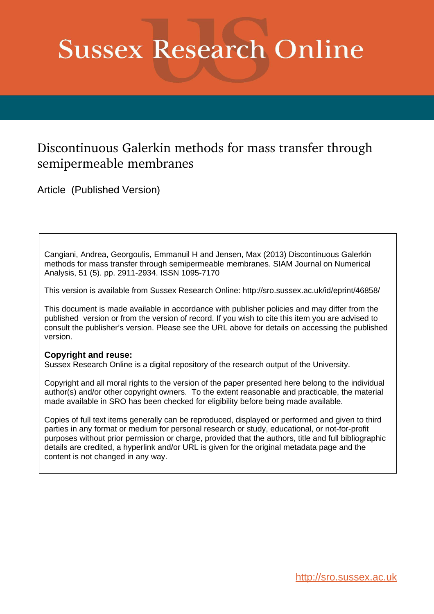# **Sussex Research Online**

## Discontinuous Galerkin methods for mass transfer through semipermeable membranes

Article (Published Version)

Cangiani, Andrea, Georgoulis, Emmanuil H and Jensen, Max (2013) Discontinuous Galerkin methods for mass transfer through semipermeable membranes. SIAM Journal on Numerical Analysis, 51 (5). pp. 2911-2934. ISSN 1095-7170

This version is available from Sussex Research Online: http://sro.sussex.ac.uk/id/eprint/46858/

This document is made available in accordance with publisher policies and may differ from the published version or from the version of record. If you wish to cite this item you are advised to consult the publisher's version. Please see the URL above for details on accessing the published version.

### **Copyright and reuse:**

Sussex Research Online is a digital repository of the research output of the University.

Copyright and all moral rights to the version of the paper presented here belong to the individual author(s) and/or other copyright owners. To the extent reasonable and practicable, the material made available in SRO has been checked for eligibility before being made available.

Copies of full text items generally can be reproduced, displayed or performed and given to third parties in any format or medium for personal research or study, educational, or not-for-profit purposes without prior permission or charge, provided that the authors, title and full bibliographic details are credited, a hyperlink and/or URL is given for the original metadata page and the content is not changed in any way.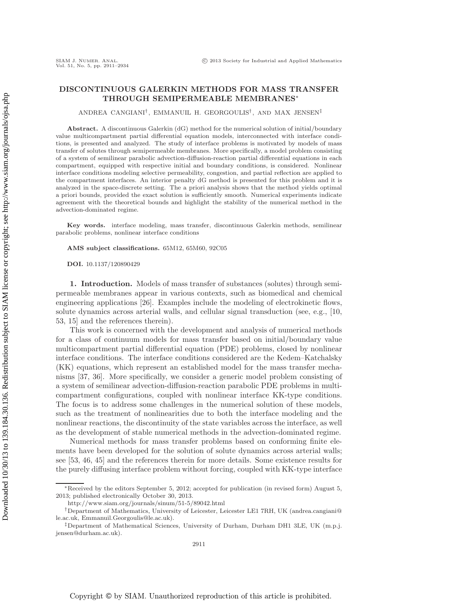#### **DISCONTINUOUS GALERKIN METHODS FOR MASS TRANSFER THROUGH SEMIPERMEABLE MEMBRANES**∗

ANDREA CANGIANI† , EMMANUIL H. GEORGOULIS† , AND MAX JENSEN‡

**Abstract.** A discontinuous Galerkin (dG) method for the numerical solution of initial/boundary value multicompartment partial differential equation models, interconnected with interface conditions, is presented and analyzed. The study of interface problems is motivated by models of mass transfer of solutes through semipermeable membranes. More specifically, a model problem consisting of a system of semilinear parabolic advection-diffusion-reaction partial differential equations in each compartment, equipped with respective initial and boundary conditions, is considered. Nonlinear interface conditions modeling selective permeability, congestion, and partial reflection are applied to the compartment interfaces. An interior penalty dG method is presented for this problem and it is analyzed in the space-discrete setting. The a priori analysis shows that the method yields optimal a priori bounds, provided the exact solution is sufficiently smooth. Numerical experiments indicate agreement with the theoretical bounds and highlight the stability of the numerical method in the advection-dominated regime.

**Key words.** interface modeling, mass transfer, discontinuous Galerkin methods, semilinear parabolic problems, nonlinear interface conditions

**AMS subject classifications.** 65M12, 65M60, 92C05

**DOI.** 10.1137/120890429

**1. Introduction.** Models of mass transfer of substances (solutes) through semipermeable membranes appear in various contexts, such as biomedical and chemical engineering applications [26]. Examples include the modeling of electrokinetic flows, solute dynamics across arterial walls, and cellular signal transduction (see, e.g., [10, 53, 15] and the references therein).

This work is concerned with the development and analysis of numerical methods for a class of continuum models for mass transfer based on initial/boundary value multicompartment partial differential equation (PDE) problems, closed by nonlinear interface conditions. The interface conditions considered are the Kedem–Katchalsky (KK) equations, which represent an established model for the mass transfer mechanisms [37, 36]. More specifically, we consider a generic model problem consisting of a system of semilinear advection-diffusion-reaction parabolic PDE problems in multicompartment configurations, coupled with nonlinear interface KK-type conditions. The focus is to address some challenges in the numerical solution of these models, such as the treatment of nonlinearities due to both the interface modeling and the nonlinear reactions, the discontinuity of the state variables across the interface, as well as the development of stable numerical methods in the advection-dominated regime.

Numerical methods for mass transfer problems based on conforming finite elements have been developed for the solution of solute dynamics across arterial walls; see [53, 46, 45] and the references therein for more details. Some existence results for the purely diffusing interface problem without forcing, coupled with KK-type interface

<sup>∗</sup>Received by the editors September 5, 2012; accepted for publication (in revised form) August 5, 2013; published electronically October 30, 2013.

http://www.siam.org/journals/sinum/51-5/89042.html

<sup>†</sup>Department of Mathematics, University of Leicester, Leicester LE1 7RH, UK (andrea.cangiani@ le.ac.uk, Emmanuil.Georgoulis@le.ac.uk).

<sup>‡</sup>Department of Mathematical Sciences, University of Durham, Durham DH1 3LE, UK (m.p.j. jensen@durham.ac.uk).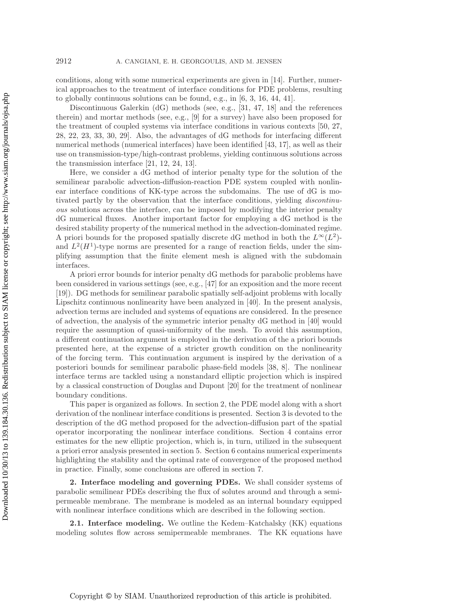conditions, along with some numerical experiments are given in [14]. Further, numerical approaches to the treatment of interface conditions for PDE problems, resulting to globally continuous solutions can be found, e.g., in [6, 3, 16, 44, 41].

Discontinuous Galerkin (dG) methods (see, e.g., [31, 47, 18] and the references therein) and mortar methods (see, e.g., [9] for a survey) have also been proposed for the treatment of coupled systems via interface conditions in various contexts [50, 27, 28, 22, 23, 33, 30, 29]. Also, the advantages of dG methods for interfacing different numerical methods (numerical interfaces) have been identified [43, 17], as well as their use on transmission-type/high-contrast problems, yielding continuous solutions across the transmission interface [21, 12, 24, 13].

Here, we consider a dG method of interior penalty type for the solution of the semilinear parabolic advection-diffusion-reaction PDE system coupled with nonlinear interface conditions of KK-type across the subdomains. The use of dG is motivated partly by the observation that the interface conditions, yielding *discontinuous* solutions across the interface, can be imposed by modifying the interior penalty dG numerical fluxes. Another important factor for employing a dG method is the desired stability property of the numerical method in the advection-dominated regime. A priori bounds for the proposed spatially discrete dG method in both the  $L^{\infty}(L^2)$ and  $L^2(H^1)$ -type norms are presented for a range of reaction fields, under the simplifying assumption that the finite element mesh is aligned with the subdomain interfaces.

A priori error bounds for interior penalty dG methods for parabolic problems have been considered in various settings (see, e.g., [47] for an exposition and the more recent [19]). DG methods for semilinear parabolic spatially self-adjoint problems with locally Lipschitz continuous nonlinearity have been analyzed in [40]. In the present analysis, advection terms are included and systems of equations are considered. In the presence of advection, the analysis of the symmetric interior penalty dG method in [40] would require the assumption of quasi-uniformity of the mesh. To avoid this assumption, a different continuation argument is employed in the derivation of the a priori bounds presented here, at the expense of a stricter growth condition on the nonlinearity of the forcing term. This continuation argument is inspired by the derivation of a posteriori bounds for semilinear parabolic phase-field models [38, 8]. The nonlinear interface terms are tackled using a nonstandard elliptic projection which is inspired by a classical construction of Douglas and Dupont [20] for the treatment of nonlinear boundary conditions.

This paper is organized as follows. In section 2, the PDE model along with a short derivation of the nonlinear interface conditions is presented. Section 3 is devoted to the description of the dG method proposed for the advection-diffusion part of the spatial operator incorporating the nonlinear interface conditions. Section 4 contains error estimates for the new elliptic projection, which is, in turn, utilized in the subsequent a priori error analysis presented in section 5. Section 6 contains numerical experiments highlighting the stability and the optimal rate of convergence of the proposed method in practice. Finally, some conclusions are offered in section 7.

**2. Interface modeling and governing PDEs.** We shall consider systems of parabolic semilinear PDEs describing the flux of solutes around and through a semipermeable membrane. The membrane is modeled as an internal boundary equipped with nonlinear interface conditions which are described in the following section.

**2.1. Interface modeling.** We outline the Kedem–Katchalsky (KK) equations modeling solutes flow across semipermeable membranes. The KK equations have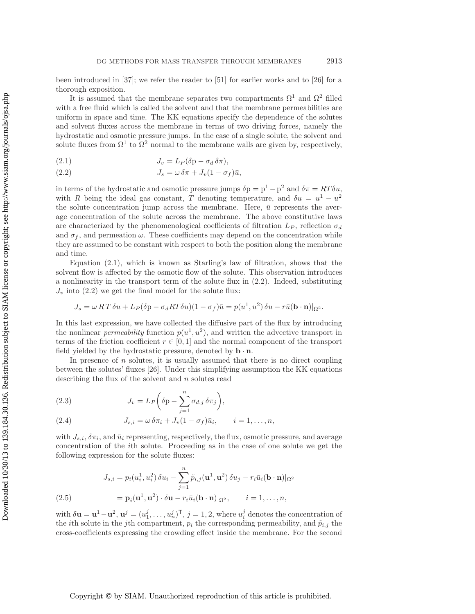been introduced in [37]; we refer the reader to [51] for earlier works and to [26] for a thorough exposition.

It is assumed that the membrane separates two compartments  $\Omega^1$  and  $\Omega^2$  filled with a free fluid which is called the solvent and that the membrane permeabilities are uniform in space and time. The KK equations specify the dependence of the solutes and solvent fluxes across the membrane in terms of two driving forces, namely the hydrostatic and osmotic pressure jumps. In the case of a single solute, the solvent and solute fluxes from  $\Omega^1$  to  $\Omega^2$  normal to the membrane walls are given by, respectively,

(2.1) 
$$
J_v = L_P(\delta \mathbf{p} - \sigma_d \, \delta \pi),
$$

(2.2) 
$$
J_s = \omega \, \delta \pi + J_v (1 - \sigma_f) \bar{u},
$$

in terms of the hydrostatic and osmotic pressure jumps  $\delta p = p^1 - p^2$  and  $\delta \pi = RT \delta u$ , with R being the ideal gas constant, T denoting temperature, and  $\delta u = u^1 - u^2$ the solute concentration jump across the membrane. Here,  $\bar{u}$  represents the average concentration of the solute across the membrane. The above constitutive laws are characterized by the phenomenological coefficients of filtration  $L_P$ , reflection  $\sigma_d$ and  $\sigma_f$ , and permeation  $\omega$ . These coefficients may depend on the concentration while they are assumed to be constant with respect to both the position along the membrane and time.

Equation (2.1), which is known as Starling's law of filtration, shows that the solvent flow is affected by the osmotic flow of the solute. This observation introduces a nonlinearity in the transport term of the solute flux in (2.2). Indeed, substituting  $J_v$  into (2.2) we get the final model for the solute flux:

$$
J_s = \omega R T \delta u + L_P (\delta p - \sigma_d R T \delta u)(1 - \sigma_f) \bar{u} = p(u^1, u^2) \delta u - r \bar{u} (\mathbf{b} \cdot \mathbf{n})|_{\Omega^2}.
$$

In this last expression, we have collected the diffusive part of the flux by introducing the nonlinear *permeability* function  $p(u^1, u^2)$ , and written the advective transport in terms of the friction coefficient  $r \in [0, 1]$  and the normal component of the transport field yielded by the hydrostatic pressure, denoted by  $\mathbf{b} \cdot \mathbf{n}$ .

In presence of  $n$  solutes, it is usually assumed that there is no direct coupling between the solutes' fluxes [26]. Under this simplifying assumption the KK equations describing the flux of the solvent and  $n$  solutes read

(2.3) 
$$
J_v = L_P \bigg(\delta \mathrm{p} - \sum_{j=1}^n \sigma_{d,j} \,\delta \pi_j \bigg),
$$

(2.4) 
$$
J_{s,i} = \omega \, \delta \pi_i + J_v (1 - \sigma_f) \bar{u}_i, \qquad i = 1, \ldots, n,
$$

with  $J_{s,i}$ ,  $\delta \pi_i$ , and  $\bar{u}_i$  representing, respectively, the flux, osmotic pressure, and average concentration of the ith solute. Proceeding as in the case of one solute we get the following expression for the solute fluxes:

(2.5)  
\n
$$
J_{s,i} = p_i(u_i^1, u_i^2) \, \delta u_i - \sum_{j=1}^n \tilde{p}_{i,j}(\mathbf{u}^1, \mathbf{u}^2) \, \delta u_j - r_i \bar{u}_i(\mathbf{b} \cdot \mathbf{n})|_{\Omega^2}
$$
\n
$$
= \mathbf{p}_i(\mathbf{u}^1, \mathbf{u}^2) \cdot \delta \mathbf{u} - r_i \bar{u}_i(\mathbf{b} \cdot \mathbf{n})|_{\Omega^2}, \qquad i = 1, \dots, n,
$$

with  $\delta \mathbf{u} = \mathbf{u}^1 - \mathbf{u}^2$ ,  $\mathbf{u}^j = (u_1^j, \dots, u_n^j)^\mathsf{T}$ ,  $j = 1, 2$ , where  $u_i^j$  denotes the concentration of the *i*th solute in the *j*th compartment,  $p_i$  the corresponding permeability, and  $\tilde{p}_{i,j}$  the cross-coefficients expressing the crowding effect inside the membrane. For the second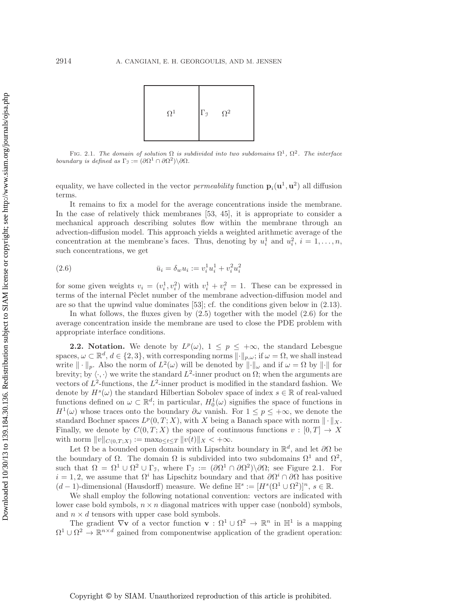

FIG. 2.1. The domain of solution  $\Omega$  is subdivided into two subdomains  $\Omega^1$ ,  $\Omega^2$ . The interface boundary is defined as  $\Gamma_{\mathcal{I}} := (\partial \Omega^1 \cap \partial \Omega^2) \backslash \partial \Omega$ .

equality, we have collected in the vector *permeability* function  $\mathbf{p}_i(\mathbf{u}^1, \mathbf{u}^2)$  all diffusion terms.

It remains to fix a model for the average concentrations inside the membrane. In the case of relatively thick membranes [53, 45], it is appropriate to consider a mechanical approach describing solutes flow within the membrane through an advection-diffusion model. This approach yields a weighted arithmetic average of the concentration at the membrane's faces. Thus, denoting by  $u_i^1$  and  $u_i^2$ ,  $i = 1, \ldots, n$ , such concentrations, we get

(2.6) 
$$
\bar{u}_i = \delta_w u_i := v_i^1 u_i^1 + v_i^2 u_i^2
$$

for some given weights  $v_i = (v_i^1, v_i^2)$  with  $v_i^1 + v_i^2 = 1$ . These can be expressed in terms of the internal Pèclet number of the membrane advection-diffusion model and are so that the upwind value dominates  $[53]$ ; cf. the conditions given below in  $(2.13)$ .

In what follows, the fluxes given by (2.5) together with the model (2.6) for the average concentration inside the membrane are used to close the PDE problem with appropriate interface conditions.

**2.2. Notation.** We denote by  $L^p(\omega)$ ,  $1 \leq p \leq +\infty$ , the standard Lebesgue spaces,  $\omega \subset \mathbb{R}^d$ ,  $d \in \{2,3\}$ , with corresponding norms  $\|\cdot\|_{p,\omega}$ ; if  $\omega = \Omega$ , we shall instead write  $\|\cdot\|_p$ . Also the norm of  $L^2(\omega)$  will be denoted by  $\|\cdot\|_{\omega}$  and if  $\omega = \Omega$  by  $\|\cdot\|$  for brevity; by  $\langle \cdot, \cdot \rangle$  we write the standard  $L^2$ -inner product on  $\Omega$ ; when the arguments are vectors of  $L^2$ -functions, the  $L^2$ -inner product is modified in the standard fashion. We denote by  $H<sup>s</sup>(\omega)$  the standard Hilbertian Sobolev space of index  $s \in \mathbb{R}$  of real-valued functions defined on  $\omega \subset \mathbb{R}^d$ ; in particular,  $H_0^1(\omega)$  signifies the space of functions in  $H^1(\omega)$  whose traces onto the boundary  $\partial \omega$  vanish. For  $1 \leq p \leq +\infty$ , we denote the standard Bochner spaces  $L^p(0,T;X)$ , with X being a Banach space with norm  $\|\cdot\|_X$ . Finally, we denote by  $C(0,T;X)$  the space of continuous functions  $v: [0,T] \to X$ with norm  $||v||_{C(0,T;X)} := \max_{0 \le t \le T} ||v(t)||_X < +\infty.$ 

Let  $\Omega$  be a bounded open domain with Lipschitz boundary in  $\mathbb{R}^d$ , and let  $\partial\Omega$  be the boundary of  $\Omega$ . The domain  $\Omega$  is subdivided into two subdomains  $\Omega^1$  and  $\Omega^2$ , such that  $\Omega = \Omega^1 \cup \Omega^2 \cup \Gamma_{\mathcal{I}}$ , where  $\Gamma_{\mathcal{I}} := (\partial \Omega^1 \cap \partial \Omega^2) \setminus \partial \Omega$ ; see Figure 2.1. For  $i = 1, 2$ , we assume that  $\Omega^i$  has Lipschitz boundary and that  $\partial \Omega^i \cap \partial \Omega$  has positive  $(d-1)$ -dimensional (Hausdorff) measure. We define  $\mathbb{H}^s := [H^s(\Omega^1 \cup \Omega^2)]^n$ ,  $s \in \mathbb{R}$ .

We shall employ the following notational convention: vectors are indicated with lower case bold symbols,  $n \times n$  diagonal matrices with upper case (nonbold) symbols, and  $n \times d$  tensors with upper case bold symbols.

The gradient  $\nabla$ **v** of a vector function **v** :  $\Omega^1 \cup \Omega^2 \to \mathbb{R}^n$  in  $\mathbb{H}^1$  is a mapping  $\Omega^1 \cup \Omega^2 \to \mathbb{R}^{n \times d}$  gained from componentwise application of the gradient operation: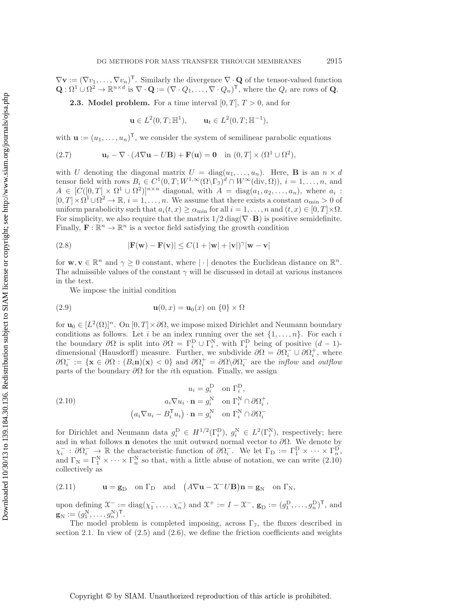$\nabla \mathbf{v} := (\nabla v_1, \dots, \nabla v_n)^\mathsf{T}$ . Similarly the divergence  $\nabla \cdot \mathbf{Q}$  of the tensor-valued function  $\mathbf{Q}: \Omega^1 \cup \Omega^2 \to \mathbb{R}^{n \times d}$  is  $\nabla \cdot \mathbf{Q} := (\nabla \cdot Q_1, \ldots, \nabla \cdot Q_n)^{\mathsf{T}}$ , where the  $Q_i$  are rows of **Q**.

**2.3. Model problem.** For a time interval  $[0, T]$ ,  $T > 0$ , and for

$$
\mathbf{u} \in L^2(0, T; \mathbb{H}^1), \qquad \mathbf{u}_t \in L^2(0, T; \mathbb{H}^{-1}),
$$

with  $\mathbf{u} := (u_1, \dots, u_n)^\mathsf{T}$ , we consider the system of semilinear parabolic equations

(2.7) 
$$
\mathbf{u}_t - \nabla \cdot (A \nabla \mathbf{u} - U \mathbf{B}) + \mathbf{F}(\mathbf{u}) = \mathbf{0} \quad \text{in } (0, T] \times (\Omega^1 \cup \Omega^2),
$$

with U denoting the diagonal matrix  $U = \text{diag}(u_1, \ldots, u_n)$ . Here, **B** is an  $n \times d$ tensor field with rows  $B_i \in C^1(0,T;W^{1,\infty}(\Omega \backslash \Gamma_j)^d \cap W^{\infty}(\text{div},\Omega)), i = 1,\ldots,n$ , and  $A \in [C([0,T] \times \Omega^1 \cup \Omega^2)]^{n \times n}$  diagonal, with  $A = \text{diag}(a_1, a_2, \ldots, a_n)$ , where  $a_i$ :  $[0, T] \times \Omega^1 \cup \Omega^2 \to \mathbb{R}, i = 1, \ldots, n$ . We assume that there exists a constant  $\alpha_{\min} > 0$  of uniform parabolicity such that  $a_i(t, x) \ge \alpha_{\min}$  for all  $i = 1, \ldots, n$  and  $(t, x) \in [0, T] \times \Omega$ . For simplicity, we also require that the matrix  $1/2 \text{ diag}(\nabla \cdot \mathbf{B})$  is positive semidefinite. Finally,  $\mathbf{F} : \mathbb{R}^n \to \mathbb{R}^n$  is a vector field satisfying the growth condition

(2.8) 
$$
|\mathbf{F}(\mathbf{w}) - \mathbf{F}(\mathbf{v})| \leq C(1 + |\mathbf{w}| + |\mathbf{v}|)^{\gamma} |\mathbf{w} - \mathbf{v}|
$$

for **w**,  $\mathbf{v} \in \mathbb{R}^n$  and  $\gamma \geq 0$  constant, where  $|\cdot|$  denotes the Euclidean distance on  $\mathbb{R}^n$ . The admissible values of the constant  $\gamma$  will be discussed in detail at various instances in the text.

We impose the initial condition

(2.9) 
$$
\mathbf{u}(0,x) = \mathbf{u}_0(x) \text{ on } \{0\} \times \Omega
$$

for  $\mathbf{u}_0 \in [L^2(\Omega)]^n$ . On  $[0, T] \times \partial \Omega$ , we impose mixed Dirichlet and Neumann boundary conditions as follows. Let i be an index running over the set  $\{1,\ldots,n\}$ . For each i the boundary  $\partial\Omega$  is split into  $\partial\Omega = \Gamma_i^{\text{D}} \cup \Gamma_i^{\text{N}}$ , with  $\Gamma_i^{\text{D}}$  being of positive  $(d-1)$ dimensional (Hausdorff) measure. Further, we subdivide  $\partial\Omega = \partial\Omega_i^- \cup \partial\Omega_i^+$ , where  $\partial\Omega_i^- := \{ \mathbf{x} \in \partial\Omega : (B_i \mathbf{n})(\mathbf{x}) < 0 \}$  and  $\partial\Omega_i^+ = \partial\Omega \setminus \partial\Omega_i^-$  are the *inflow* and *outflow* parts of the boundary  $\partial\Omega$  for the *i*th equation. Finally, we assign

(2.10) 
$$
u_i = g_i^D \text{ on } \Gamma_i^D,
$$

$$
a_i \nabla u_i \cdot \mathbf{n} = g_i^N \text{ on } \Gamma_i^N \cap \partial \Omega_i^+,
$$

$$
(a_i \nabla u_i - B_i^{\mathsf{T}} u_i) \cdot \mathbf{n} = g_i^N \text{ on } \Gamma_i^N \cap \partial \Omega_i^-
$$

for Dirichlet and Neumann data  $g_i^D \in H^{1/2}(\Gamma_i^D)$ ,  $g_i^N \in L^2(\Gamma_i^N)$ , respectively; here and in what follows **n** denotes the unit outward normal vector to  $\partial\Omega$ . We denote by  $\chi_i^-$  :  $\partial \Omega_i^- \to \mathbb{R}$  the characteristic function of  $\partial \Omega_i^-$ . We let  $\Gamma_{\text{D}} := \Gamma_1^{\text{D}} \times \cdots \times \Gamma_n^{\text{D}}$ , and  $\Gamma_N = \Gamma_1^N \times \cdots \times \Gamma_n^N$  so that, with a little abuse of notation, we can write  $(2.10)$ collectively as

(2.11) 
$$
\mathbf{u} = \mathbf{g}_D
$$
 on  $\Gamma_D$  and  $(A\nabla\mathbf{u} - \mathcal{X}^- U\mathbf{B})\mathbf{n} = \mathbf{g}_N$  on  $\Gamma_N$ ,

upon defining  $\mathfrak{X}^- := \text{diag}(\chi_1^-,\ldots,\chi_n^-)$  and  $\mathfrak{X}^+ := I - \mathfrak{X}^-$ ,  $\mathbf{g}_D := (g_1^D,\ldots,g_n^D)^T$ , and  $\mathbf{g}_\text{N} := (g_1^{\text{N}}, \dots, g_n^{\text{N}})^{\mathsf{T}}.$ 

The model problem is completed imposing, across  $\Gamma_{\mathcal{I}}$ , the fluxes described in section 2.1. In view of  $(2.5)$  and  $(2.6)$ , we define the friction coefficients and weights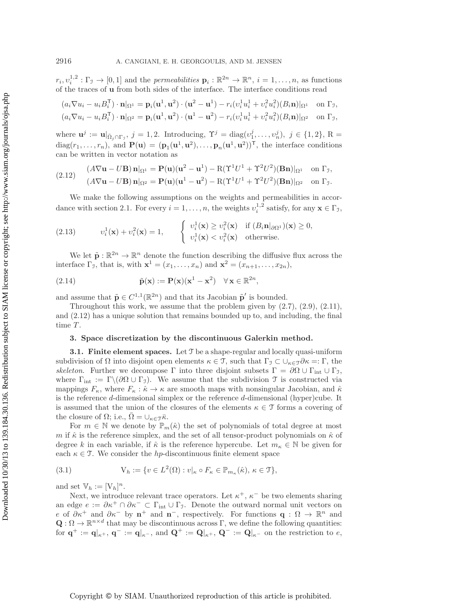$r_i, v_i^{1,2}: \Gamma_j \to [0,1]$  and the *permeabilities*  $\mathbf{p}_i : \mathbb{R}^{2n} \to \mathbb{R}^n$ ,  $i = 1,\ldots,n$ , as functions of the traces of **u** from both sides of the interface. The interface conditions read

$$
(a_i \nabla u_i - u_i B_i^{\mathsf{T}}) \cdot \mathbf{n}|_{\Omega^1} = \mathbf{p}_i(\mathbf{u}^1, \mathbf{u}^2) \cdot (\mathbf{u}^2 - \mathbf{u}^1) - r_i(v_i^1 u_i^1 + v_i^2 u_i^2)(B_i \mathbf{n})|_{\Omega^1}
$$
 on  $\Gamma_{\mathcal{I}}$ ,  
\n
$$
(a_i \nabla u_i - u_i B_i^{\mathsf{T}}) \cdot \mathbf{n}|_{\Omega^2} = \mathbf{p}_i(\mathbf{u}^1, \mathbf{u}^2) \cdot (\mathbf{u}^1 - \mathbf{u}^2) - r_i(v_i^1 u_i^1 + v_i^2 u_i^2)(B_i \mathbf{n})|_{\Omega^2}
$$
 on  $\Gamma_{\mathcal{I}}$ ,

$$
(a_i \nabla u_i - u_i B_i^{\mathsf{T}}) \cdot \mathbf{n}|_{\Omega^2} = \mathbf{p}_i(\mathbf{u}^1, \mathbf{u}^2) \cdot (\mathbf{u}^1 - \mathbf{u}^2) - r_i(v_i^1 u_i^1 + v_i^2 u_i^2)(B_i \mathbf{n})|_{\Omega^2} \quad \text{on } \Gamma_{\mathcal{I}},
$$
  
where  $\mathbf{n}^j := \mathbf{n}|_{\Omega^2} = i - 1, 2$ . Introducing  $\Upsilon^j = \text{diag}(u^j - u^j)$ ,  $i \in [1, 2], \mathbf{p} =$ 

where  $\mathbf{u}^j := \mathbf{u}|_{\bar{\Omega}_j \cap \Gamma_j}, j = 1, 2$ . Introducing,  $\Upsilon^j = \text{diag}(v_1^j, \dots, v_n^j), j \in \{1, 2\}, R =$ diag $(r_1,\ldots,r_n)$ , and  $\mathbf{P}(\mathbf{u})=(\mathbf{p}_1(\mathbf{u}^1,\mathbf{u}^2),\ldots,\mathbf{p}_n(\mathbf{u}^1,\mathbf{u}^2))^T$ , the interface conditions can be written in vector notation as

$$
(2.12) \quad (A\nabla \mathbf{u} - U\mathbf{B}) \mathbf{n}|_{\Omega^1} = \mathbf{P}(\mathbf{u})(\mathbf{u}^2 - \mathbf{u}^1) - \mathbf{R}(\Upsilon^1 U^1 + \Upsilon^2 U^2)(\mathbf{B}\mathbf{n})|_{\Omega^1} \quad \text{on } \Gamma_{\mathcal{I}},
$$

$$
(A\nabla \mathbf{u} - U\mathbf{B}) \mathbf{n}|_{\Omega^2} = \mathbf{P}(\mathbf{u})(\mathbf{u}^1 - \mathbf{u}^2) - \mathbf{R}(\Upsilon^1 U^1 + \Upsilon^2 U^2)(\mathbf{B}\mathbf{n})|_{\Omega^2} \quad \text{on } \Gamma_{\mathcal{I}}.
$$

We make the following assumptions on the weights and permeabilities in accordance with section 2.1. For every  $i = 1, \ldots, n$ , the weights  $v_i^{1,2}$  satisfy, for any  $\mathbf{x} \in \Gamma_j$ ,

(2.13) 
$$
v_i^1(\mathbf{x}) + v_i^2(\mathbf{x}) = 1, \qquad \begin{cases} v_i^1(\mathbf{x}) \ge v_i^2(\mathbf{x}) & \text{if } (B_i \mathbf{n}|_{\partial \Omega^1})(\mathbf{x}) \ge 0, \\ v_i^1(\mathbf{x}) < v_i^2(\mathbf{x}) & \text{otherwise.} \end{cases}
$$

We let  $\tilde{\mathbf{p}} : \mathbb{R}^{2n} \to \mathbb{R}^n$  denote the function describing the diffusive flux across the interface  $\Gamma_1$ , that is, with  $\mathbf{x}^1 = (x_1, \ldots, x_n)$  and  $\mathbf{x}^2 = (x_{n+1}, \ldots, x_{2n})$ ,

(2.14) 
$$
\tilde{\mathbf{p}}(\mathbf{x}) := \mathbf{P}(\mathbf{x})(\mathbf{x}^1 - \mathbf{x}^2) \quad \forall \mathbf{x} \in \mathbb{R}^{2n},
$$

and assume that  $\tilde{\mathbf{p}} \in C^{1,1}(\mathbb{R}^{2n})$  and that its Jacobian  $\tilde{\mathbf{p}}'$  is bounded.

Throughout this work, we assume that the problem given by  $(2.7)$ ,  $(2.9)$ ,  $(2.11)$ , and (2.12) has a unique solution that remains bounded up to, and including, the final time T.

#### **3. Space discretization by the discontinuous Galerkin method.**

**3.1. Finite element spaces.** Let  $\mathcal{T}$  be a shape-regular and locally quasi-uniform subdivision of  $\Omega$  into disjoint open elements  $\kappa \in \mathcal{T}$ , such that  $\Gamma_{\mathcal{I}} \subset \cup_{\kappa \in \mathcal{T}} \partial \kappa =: \Gamma$ , the *skeleton*. Further we decompose Γ into three disjoint subsets  $\Gamma = \partial \Omega \cup \Gamma_{int} \cup \Gamma_{1}$ , where  $\Gamma_{int} := \Gamma \backslash (\partial \Omega \cup \Gamma_{\mathcal{I}})$ . We assume that the subdivision  $\mathcal{T}$  is constructed via mappings  $F_{\kappa}$ , where  $F_{\kappa}$ :  $\hat{\kappa} \to \kappa$  are smooth maps with nonsingular Jacobian, and  $\hat{\kappa}$ is the reference d-dimensional simplex or the reference d-dimensional (hyper)cube. It is assumed that the union of the closures of the elements  $\kappa \in \mathcal{T}$  forms a covering of the closure of  $\Omega$ ; i.e.,  $\overline{\Omega} = \bigcup_{\kappa \in \mathfrak{I}} \overline{\kappa}$ .

For  $m \in \mathbb{N}$  we denote by  $\mathbb{P}_m(\hat{\kappa})$  the set of polynomials of total degree at most m if  $\hat{\kappa}$  is the reference simplex, and the set of all tensor-product polynomials on  $\hat{\kappa}$  of degree k in each variable, if  $\hat{\kappa}$  is the reference hypercube. Let  $m_{\kappa} \in \mathbb{N}$  be given for each  $\kappa \in \mathcal{T}$ . We consider the *hp*-discontinuous finite element space

(3.1) 
$$
V_h := \{ v \in L^2(\Omega) : v|_{\kappa} \circ F_{\kappa} \in \mathbb{P}_{m_{\kappa}}(\hat{\kappa}), \, \kappa \in \mathfrak{T} \},
$$

and set  $\mathbb{V}_h := [\mathbf{V}_h]^n$ .

Next, we introduce relevant trace operators. Let  $\kappa^+$ ,  $\kappa^-$  be two elements sharing an edge  $e := \partial \kappa^+ \cap \partial \kappa^- \subset \Gamma_{\text{int}} \cup \Gamma_{\text{I}}$ . Denote the outward normal unit vectors on e of  $\partial \kappa^+$  and  $\partial \kappa^-$  by  $\mathbf{n}^+$  and  $\mathbf{n}^-$ , respectively. For functions  $\mathbf{q}: \Omega \to \mathbb{R}^n$  and  $\mathbf{Q}:\Omega\to\mathbb{R}^{n\times d}$  that may be discontinuous across  $\Gamma,$  we define the following quantities: for  $\mathbf{q}^+ := \mathbf{q}|_{\kappa^+}, \mathbf{q}^- := \mathbf{q}|_{\kappa^-}, \text{ and } \mathbf{Q}^+ := \mathbf{Q}|_{\kappa^+}, \mathbf{Q}^- := \mathbf{Q}|_{\kappa^-}$  on the restriction to e,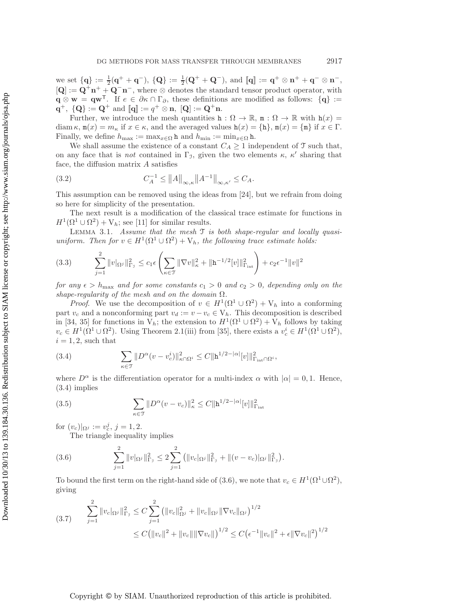$\text{we set } \{\mathbf{q}\} := \frac{1}{2}(\mathbf{q}^+ + \mathbf{q}^-), \ \{\mathbf{Q}\} := \frac{1}{2}(\mathbf{Q}^+ + \mathbf{Q}^-), \ \text{and } \llbracket \mathbf{q} \rrbracket := \mathbf{q}^+ \otimes \mathbf{n}^+ + \mathbf{q}^- \otimes \mathbf{n}^-,$  $[\mathbf{Q}] := \mathbf{Q}^+ \mathbf{n}^+ + \mathbf{Q}^- \mathbf{n}^-$ , where  $\otimes$  denotes the standard tensor product operator, with **q**  $\otimes$  **w** = **qw**<sup>T</sup>. If  $e \in \partial \kappa \cap \Gamma_{\partial}$ , these definitions are modified as follows: {**q**} := **q**<sup>+</sup>, {**Q**} := **Q**<sup>+</sup> and [**q**] :=  $q^+ \otimes n$ , [**Q**] := **Q**<sup>+</sup>*n*.

Further, we introduce the mesh quantities  $h: \Omega \to \mathbb{R}$ ,  $m: \Omega \to \mathbb{R}$  with  $h(x) =$ diam  $\kappa$ ,  $m(x) = m_{\kappa}$  if  $x \in \kappa$ , and the averaged values  $h(x) = \{h\}$ ,  $m(x) = \{m\}$  if  $x \in \Gamma$ . Finally, we define  $h_{\max} := \max_{x \in \Omega} h$  and  $h_{\min} := \min_{x \in \Omega} h$ .

We shall assume the existence of a constant  $C_A \geq 1$  independent of  $\mathcal T$  such that, on any face that is *not* contained in  $\Gamma_{\mathcal{I}}$ , given the two elements  $\kappa$ ,  $\kappa'$  sharing that face, the diffusion matrix A satisfies

(3.2) 
$$
C_A^{-1} \le ||A||_{\infty,\kappa} ||A^{-1}||_{\infty,\kappa'} \le C_A.
$$

This assumption can be removed using the ideas from [24], but we refrain from doing so here for simplicity of the presentation.

The next result is a modification of the classical trace estimate for functions in  $H^1(\Omega^1 \cup \Omega^2) + V_h$ ; see [11] for similar results.

Lemma 3.1. *Assume that the mesh* T *is both shape-regular and locally quasiuniform. Then for*  $v \in H^1(\Omega^1 \cup \Omega^2) + V_h$ *, the following trace estimate holds:* 

$$
(3.3) \qquad \sum_{j=1}^{2} \|v\|_{\Omega^j} \|_{\Gamma_{\mathcal{I}}}^2 \le c_1 \epsilon \left( \sum_{\kappa \in \mathcal{T}} \|\nabla v\|_{\kappa}^2 + \|h^{-1/2}[v]\|_{\Gamma_{int}}^2 \right) + c_2 \epsilon^{-1} \|v\|^2
$$

for any  $\epsilon > h_{\text{max}}$  and for some constants  $c_1 > 0$  and  $c_2 > 0$ , depending only on the *shape-regularity of the mesh and on the domain* Ω*.*

*Proof.* We use the decomposition of  $v \in H^1(\Omega^1 \cup \Omega^2) + V_h$  into a conforming part  $v_c$  and a nonconforming part  $v_d := v - v_c \in V_h$ . This decomposition is described in [34, 35] for functions in  $V_h$ ; the extension to  $H^1(\Omega^1 \cup \Omega^2) + V_h$  follows by taking  $v_c \in H^1(\Omega^1 \cup \Omega^2)$ . Using Theorem 2.1(iii) from [35], there exists a  $v_c^i \in H^1(\Omega^1 \cup \Omega^2)$ ,  $i = 1, 2$ , such that

(3.4) 
$$
\sum_{\kappa \in \mathfrak{I}} \|D^{\alpha}(v-v_c^i)\|_{\kappa \cap \Omega^i}^2 \leq C \| \mathbf{h}^{1/2-|\alpha|}[v] \|_{\Gamma_{\text{int}} \cap \Omega^i}^2,
$$

where  $D^{\alpha}$  is the differentiation operator for a multi-index  $\alpha$  with  $|\alpha|=0,1$ . Hence, (3.4) implies

(3.5) 
$$
\sum_{\kappa \in \mathcal{T}} \|D^{\alpha}(v - v_c)\|_{\kappa}^2 \leq C \| \mathbf{h}^{1/2 - |\alpha|} [v] \|_{\Gamma_{\text{int}}}^2
$$

for  $(v_c)|_{\Omega^j} := v_c^j, j = 1, 2.$ 

The triangle inequality implies

(3.6) 
$$
\sum_{j=1}^{2} ||v|_{\Omega^{j}}||_{\Gamma_{\mathcal{I}}}^{2} \leq 2 \sum_{j=1}^{2} (||v_{c}|_{\Omega^{j}}||_{\Gamma_{\mathcal{I}}}^{2} + ||(v-v_{c})|_{\Omega^{j}}||_{\Gamma_{\mathcal{I}}}^{2}).
$$

To bound the first term on the right-hand side of (3.6), we note that  $v_c \in H^1(\Omega^1 \cup \Omega^2)$ , giving

$$
(3.7) \qquad \sum_{j=1}^{2} \|v_c|_{\Omega^j}\|_{\Gamma_{\mathcal{I}}}^2 \leq C \sum_{j=1}^{2} \left( \|v_c\|_{\Omega^j}^2 + \|v_c\|_{\Omega^j} \|\nabla v_c\|_{\Omega^j} \right)^{1/2} \\ \leq C \left( \|v_c\|^2 + \|v_c\| \|\nabla v_c\| \right)^{1/2} \leq C \left( \epsilon^{-1} \|v_c\|^2 + \epsilon \|\nabla v_c\|^2 \right)^{1/2}
$$

#### Copyright © by SIAM. Unauthorized reproduction of this article is prohibited.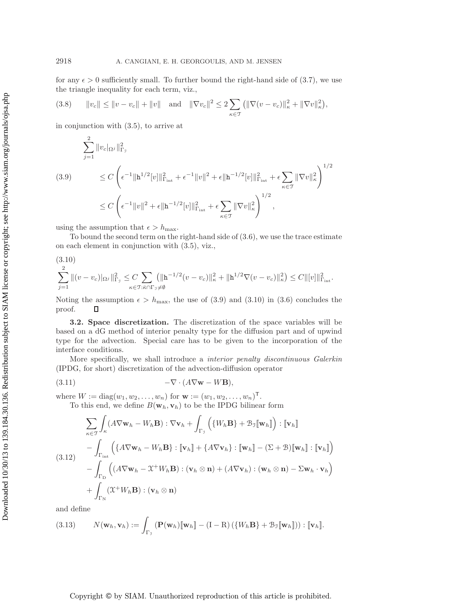for any  $\epsilon > 0$  sufficiently small. To further bound the right-hand side of (3.7), we use the triangle inequality for each term, viz.,

$$
(3.8) \t ||v_c|| \le ||v - v_c|| + ||v|| \t and \t ||\nabla v_c||^2 \le 2 \sum_{\kappa \in \mathcal{T}} (||\nabla (v - v_c)||^2_{\kappa} + ||\nabla v||^2_{\kappa}),
$$

in conjunction with (3.5), to arrive at

2

$$
\sum_{j=1}^{n} \|v_c|_{\Omega^j} \|_{\Gamma_J}^2
$$
\n
$$
(3.9) \qquad \leq C \left( \epsilon^{-1} \|h^{1/2}[v]\|_{\Gamma_{\rm int}}^2 + \epsilon^{-1} \|v\|^2 + \epsilon \|h^{-1/2}[v]\|_{\Gamma_{\rm int}}^2 + \epsilon \sum_{\kappa \in \mathcal{T}} \|\nabla v\|_{\kappa}^2 \right)^{1/2}
$$
\n
$$
\leq C \left( \epsilon^{-1} \|v\|^2 + \epsilon \|h^{-1/2}[v]\|_{\Gamma_{\rm int}}^2 + \epsilon \sum_{\kappa \in \mathcal{T}} \|\nabla v\|_{\kappa}^2 \right)^{1/2},
$$

using the assumption that  $\epsilon > h_{\text{max}}$ .

To bound the second term on the right-hand side of (3.6), we use the trace estimate on each element in conjunction with (3.5), viz.,

$$
(3.10)
$$
  

$$
\sum_{j=1}^{2} \|(v-v_{c})|_{\Omega^{j}}\|_{\Gamma_{\mathfrak{I}}}^{2} \leq C \sum_{\kappa \in \mathfrak{I}: \bar{\kappa} \cap \Gamma_{\mathfrak{I}} \neq \emptyset} (\|\mathbf{h}^{-1/2}(v-v_{c})\|_{\kappa}^{2} + \|\mathbf{h}^{1/2}\nabla(v-v_{c})\|_{\kappa}^{2}) \leq C \|[v]\|_{\Gamma_{\text{int}}}^{2}.
$$

Noting the assumption  $\epsilon > h_{\text{max}}$ , the use of (3.9) and (3.10) in (3.6) concludes the  $\Box$ proof.

**3.2. Space discretization.** The discretization of the space variables will be based on a dG method of interior penalty type for the diffusion part and of upwind type for the advection. Special care has to be given to the incorporation of the interface conditions.

More specifically, we shall introduce a *interior penalty discontinuous Galerkin* (IPDG, for short) discretization of the advection-diffusion operator

$$
(3.11) \t -\nabla \cdot (A\nabla \mathbf{w} - W\mathbf{B}),
$$

where  $W := diag(w_1, w_2, ..., w_n)$  for  $\mathbf{w} := (w_1, w_2, ..., w_n)^{\mathsf{T}}$ .

To this end, we define  $B(\mathbf{w}_h, \mathbf{v}_h)$  to be the IPDG bilinear form

$$
\sum_{\kappa \in \mathcal{T}} \int_{\kappa} (A \nabla \mathbf{w}_h - W_h \mathbf{B}) : \nabla \mathbf{v}_h + \int_{\Gamma_{\mathcal{I}}} \left( \{ W_h \mathbf{B} \} + \mathcal{B}_{\mathcal{I}} [\mathbf{w}_h] \right) : [\mathbf{v}_h]
$$
\n
$$
- \int_{\Gamma_{\text{int}}} \left( \{ A \nabla \mathbf{w}_h - W_h \mathbf{B} \} : [\![\mathbf{v}_h]\!] + \{ A \nabla \mathbf{v}_h \} : [\![\mathbf{w}_h]\!] - (\Sigma + \mathcal{B}) [\![\mathbf{w}_h]\!] : [\![\mathbf{v}_h]\!] \right)
$$
\n
$$
- \int_{\Gamma_{\text{D}}} \left( (A \nabla \mathbf{w}_h - \mathcal{X}^+ W_h \mathbf{B}) : (\mathbf{v}_h \otimes \mathbf{n}) + (A \nabla \mathbf{v}_h) : (\mathbf{w}_h \otimes \mathbf{n}) - \Sigma \mathbf{w}_h \cdot \mathbf{v}_h \right)
$$
\n
$$
+ \int_{\Gamma_{\text{N}}} (\mathcal{X}^+ W_h \mathbf{B}) : (\mathbf{v}_h \otimes \mathbf{n})
$$

and define

(3.13) 
$$
N(\mathbf{w}_h, \mathbf{v}_h) := \int_{\Gamma_{\mathcal{I}}} (\mathbf{P}(\mathbf{w}_h) [\![\mathbf{w}_h]\!] - (\mathbf{I} - \mathbf{R}) (\{W_h \mathbf{B}\} + \mathcal{B}_{\mathcal{I}} [\![\mathbf{w}_h]\!])) : [\![\mathbf{v}_h]\!].
$$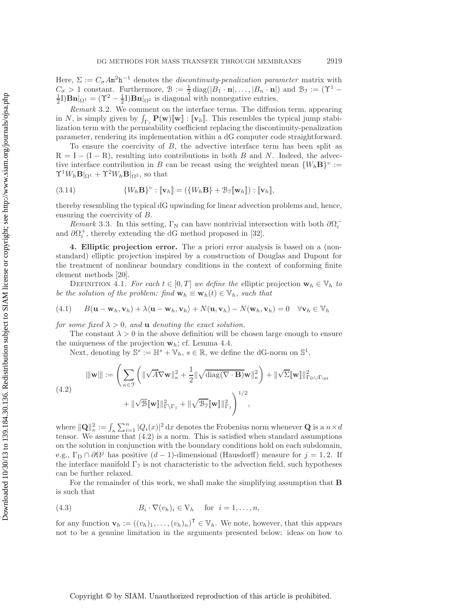Here,  $\Sigma := C_{\sigma} A m^2 h^{-1}$  denotes the *discontinuity-penalization parameter* matrix with  $C_{\sigma} > 1$  constant. Furthermore,  $\mathcal{B} := \frac{1}{2} \text{diag}(|B_1 \cdot \mathbf{n}|, \ldots, |B_n \cdot \mathbf{n}|)$  and  $\mathcal{B}_{\mathcal{I}} := (\Upsilon^1 - 1) \text{Bulge} - (\Upsilon^2 - 1) \text{Bulge}$  is diagonal with nonporative entries  $\frac{1}{2}I$ **Dn** $|_{\Omega^1} = (T^2 - \frac{1}{2}I)$ **Bn** $|_{\Omega^2}$  is diagonal with nonnegative entries.

*Remark* 3.2. We comment on the interface terms. The diffusion term, appearing in N, is simply given by  $\int_{\Gamma_{\mathcal{I}}} \mathbf{P}(\mathbf{w})[\![\mathbf{w}]\!] : [\![\mathbf{v}_h]\!]$ . This resembles the typical jump stabilization term with the permeability coefficient replacing the discontinuity-penalization parameter, rendering its implementation within a dG computer code straightforward.

To ensure the coercivity of  $B$ , the advective interface term has been split as  $R = I - (I - R)$ , resulting into contributions in both B and N. Indeed, the advective interface contribution in B can be recast using the weighted mean  $\{W_h\mathbf{B}\}^v$  :=  $\Upsilon^1 W_h \mathbf{B} |_{\Omega^1} + \Upsilon^2 W_h \mathbf{B} |_{\Omega^2}$ , so that

(3.14) 
$$
\{W_h \mathbf{B}\}^{\nu} : [\mathbf{v}_h] = (\{W_h \mathbf{B}\} + \mathcal{B}_{\mathcal{I}} [\mathbf{w}_h]) : [\mathbf{v}_h],
$$

thereby resembling the typical dG upwinding for linear advection problems and, hence, ensuring the coercivity of B.

*Remark* 3.3. In this setting,  $\Gamma_N$  can have nontrivial intersection with both  $\partial \Omega_i^$ and  $\partial \Omega_i^+$ , thereby extending the dG method proposed in [32].

**4. Elliptic projection error.** The a priori error analysis is based on a (nonstandard) elliptic projection inspired by a construction of Douglas and Dupont for the treatment of nonlinear boundary conditions in the context of conforming finite element methods [20].

DEFINITION 4.1. *For each*  $t \in [0, T]$  *we define the elliptic projection*  $\mathbf{w}_h \in \mathbb{V}_h$  *to be the solution of the problem:* find  $\mathbf{w}_h \equiv \mathbf{w}_h(t) \in \mathbb{V}_h$ , such that

(4.1) 
$$
B(\mathbf{u}-\mathbf{w}_h,\mathbf{v}_h)+\lambda\langle \mathbf{u}-\mathbf{w}_h,\mathbf{v}_h\rangle+N(\mathbf{u},\mathbf{v}_h)-N(\mathbf{w}_h,\mathbf{v}_h)=0 \quad \forall \mathbf{v}_h \in \mathbb{V}_h
$$

*for some fixed*  $\lambda > 0$ *, and* **u** *denoting the exact solution.* 

The constant  $\lambda > 0$  in the above definition will be chosen large enough to ensure the uniqueness of the projection  $w_h$ ; cf. Lemma 4.4.

Next, denoting by  $\mathbb{S}^s := \mathbb{H}^s + \mathbb{V}_h$ ,  $s \in \mathbb{R}$ , we define the dG-norm on  $\mathbb{S}^1$ ,

(4.2)  
\n
$$
\|\mathbf{w}\| := \left(\sum_{\kappa \in \mathcal{T}} \left(\|\sqrt{A}\nabla \mathbf{w}\|_{\kappa}^{2} + \frac{1}{2}\|\sqrt{\text{diag}(\nabla \cdot \mathbf{B})}\mathbf{w}\|_{\kappa}^{2}\right) + \|\sqrt{\Sigma}[\mathbf{w}]\|_{\Gamma_{\text{D}} \cup \Gamma_{\text{int}}}^{2} + \|\sqrt{\mathcal{B}}[\mathbf{w}]\|_{\Gamma \setminus \Gamma_{\mathcal{I}}}^{2} + \|\sqrt{\mathcal{B}}\mathbf{w}\|_{\Gamma_{\mathcal{I}}}^{2}\right)^{1/2},
$$

where  $\|\mathbf{Q}\|_{\kappa}^2 := \int_{\kappa} \sum_{i=1}^n |Q_i(x)|^2 dx$  denotes the Frobenius norm whenever **Q** is a  $n \times d$ tensor. We assume that (4.2) is a norm. This is satisfied when standard assumptions on the solution in conjunction with the boundary conditions hold on each subdomain, e.g.,  $\Gamma_{\text{D}} \cap \partial \Omega^j$  has positive  $(d-1)$ -dimensional (Hausdorff) measure for  $j = 1, 2$ . If the interface manifold  $\Gamma<sub>J</sub>$  is not characteristic to the advection field, such hypotheses can be further relaxed.

For the remainder of this work, we shall make the simplifying assumption that **B** is such that

(4.3) 
$$
B_i \cdot \nabla(v_h)_i \in V_h \quad \text{for } i = 1, \dots, n,
$$

for any function  $\mathbf{v}_h := ((v_h)_1, \ldots, (v_h)_n)^\mathsf{T} \in \mathbb{V}_h$ . We note, however, that this appears not to be a genuine limitation in the arguments presented below: ideas on how to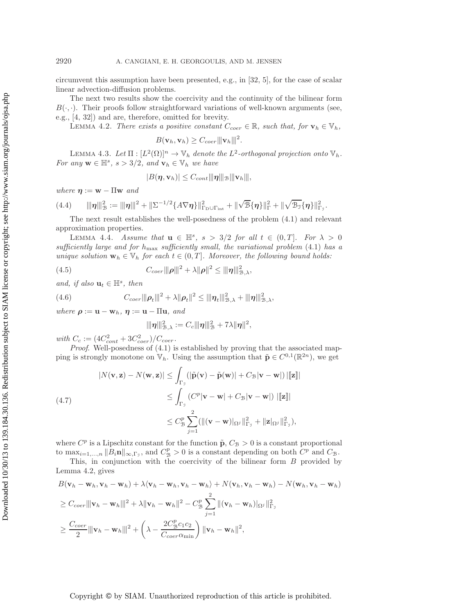circumvent this assumption have been presented, e.g., in [32, 5], for the case of scalar linear advection-diffusion problems.

The next two results show the coercivity and the continuity of the bilinear form  $B(\cdot, \cdot)$ . Their proofs follow straightforward variations of well-known arguments (see, e.g., [4, 32]) and are, therefore, omitted for brevity.

LEMMA 4.2. *There exists a positive constant*  $C_{coer} \in \mathbb{R}$ *, such that, for*  $\mathbf{v}_h \in \mathbb{V}_h$ *,* 

$$
B(\mathbf{v}_h, \mathbf{v}_h) \geq C_{coer} |||\mathbf{v}_h|||^2.
$$

LEMMA 4.3. Let  $\Pi : [L^2(\Omega)]^n \to \mathbb{V}_h$  denote the  $L^2$ -orthogonal projection onto  $\mathbb{V}_h$ . *For any*  $\mathbf{w} \in \mathbb{H}^s$ ,  $s > 3/2$ , and  $\mathbf{v}_h \in \mathbb{V}_h$  we have

$$
|B(\boldsymbol{\eta},\mathbf{v}_h)|\leq C_{cont} \|\|\boldsymbol{\eta}\|_{\mathcal{B}}\|\|\mathbf{v}_h\|,
$$

 $where \eta := \mathbf{w} - \Pi \mathbf{w} \text{ and}$ 

(4.4) 
$$
\|\eta\|_{\mathcal{B}}^2 := \|\eta\|^2 + \|\Sigma^{-1/2} \{A\nabla \eta\}\|_{\Gamma_{\text{D}} \cup \Gamma_{\text{int}}}^2 + \|\sqrt{\mathcal{B}} \{\eta\}\|_{\Gamma}^2 + \|\sqrt{\mathcal{B}_3} \{\eta\}\|_{\Gamma_3}^2.
$$

The next result establishes the well-posedness of the problem (4.1) and relevant approximation properties.

LEMMA 4.4. *Assume that*  $u \in H^s$ ,  $s > 3/2$  *for all*  $t \in (0,T]$ *. For*  $\lambda > 0$ *sufficiently large and for* hmax *sufficiently small, the variational problem* (4.1) *has a unique solution*  $\mathbf{w}_h \in \mathbb{V}_h$  *for each*  $t \in (0, T]$ *. Moreover, the following bound holds:* 

(4.5) 
$$
C_{coer} ||\mathbf{\rho}||^2 + \lambda ||\mathbf{\rho}||^2 \le ||\mathbf{\eta}||_{\mathcal{B},\lambda}^2,
$$

*and, if also*  $\mathbf{u}_t \in \mathbb{H}^s$ *, then* 

(4.6) 
$$
C_{coer} \|\mathbf{\rho}_t\|^2 + \lambda \|\mathbf{\rho}_t\|^2 \leq \|\mathbf{\eta}_t\|_{\mathcal{B},\lambda}^2 + \|\mathbf{\eta}\|_{\mathcal{B},\lambda}^2,
$$

 $where \rho := \mathbf{u} - \mathbf{w}_h, \eta := \mathbf{u} - \Pi \mathbf{u}, \text{ and}$ 

$$
\|\|\boldsymbol\eta\|_{{\mathcal B},\lambda}^2:=C_c\|\|\boldsymbol\eta\|_{{\mathcal B}}^2+7\lambda\|\boldsymbol\eta\|^2,
$$

 $with C_c := (4C_{cont}^2 + 3C_{coer}^2)/C_{coer}.$ 

*Proof*. Well-posedness of (4.1) is established by proving that the associated mapping is strongly monotone on  $\mathbb{V}_h$ . Using the assumption that  $\tilde{\mathbf{p}} \in C^{0,1}(\mathbb{R}^{2n})$ , we get

(4.7)  
\n
$$
|N(\mathbf{v}, \mathbf{z}) - N(\mathbf{w}, \mathbf{z})| \leq \int_{\Gamma_{\mathcal{I}}} (|\tilde{\mathbf{p}}(\mathbf{v}) - \tilde{\mathbf{p}}(\mathbf{w})| + C_{\mathcal{B}} |\mathbf{v} - \mathbf{w}|) ||\mathbf{z}||
$$
\n
$$
\leq \int_{\Gamma_{\mathcal{I}}} (C^p |\mathbf{v} - \mathbf{w}| + C_{\mathcal{B}} |\mathbf{v} - \mathbf{w}|) ||\mathbf{z}||
$$
\n
$$
\leq C_{\mathcal{B}}^p \sum_{j=1}^2 (||(\mathbf{v} - \mathbf{w})|_{\Omega^j} ||_{\Gamma_{\mathcal{I}}}^2 + ||\mathbf{z}|_{\Omega^j} ||_{\Gamma_{\mathcal{I}}}^2),
$$

where  $C^p$  is a Lipschitz constant for the function  $\tilde{\mathbf{p}}, C_{\mathcal{B}} > 0$  is a constant proportional to max<sub>i=1,...,n</sub>  $||B_i \mathbf{n}||_{\infty, \Gamma_J}$ , and  $C_{\mathcal{B}}^p > 0$  is a constant depending on both  $C^p$  and  $C_{\mathcal{B}}$ .

This, in conjunction with the coercivity of the bilinear form B provided by Lemma 4.2, gives

$$
B(\mathbf{v}_h - \mathbf{w}_h, \mathbf{v}_h - \mathbf{w}_h) + \lambda \langle \mathbf{v}_h - \mathbf{w}_h, \mathbf{v}_h - \mathbf{w}_h \rangle + N(\mathbf{v}_h, \mathbf{v}_h - \mathbf{w}_h) - N(\mathbf{w}_h, \mathbf{v}_h - \mathbf{w}_h)
$$
  
\n
$$
\geq C_{coer} ||\mathbf{v}_h - \mathbf{w}_h||^2 + \lambda ||\mathbf{v}_h - \mathbf{w}_h||^2 - C_{\mathcal{B}}^p \sum_{j=1}^2 ||(\mathbf{v}_h - \mathbf{w}_h)|_{\Omega^j}||_{\Gamma_j}^2
$$
  
\n
$$
\geq \frac{C_{coer}}{2} ||\mathbf{v}_h - \mathbf{w}_h||^2 + \left(\lambda - \frac{2C_{\mathcal{B}}^p c_1 c_2}{C_{coer} \alpha_{\min}}\right) ||\mathbf{v}_h - \mathbf{w}_h||^2,
$$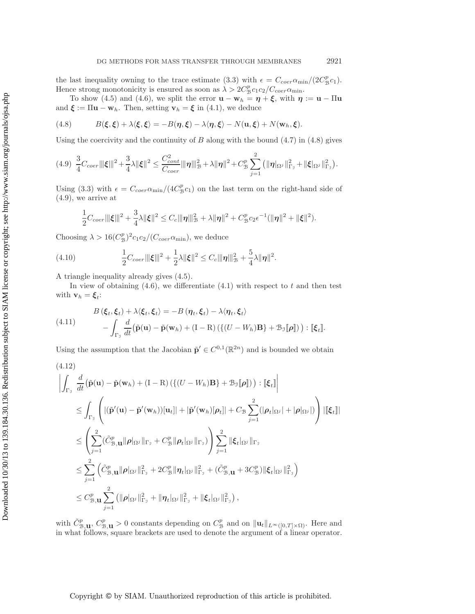the last inequality owning to the trace estimate (3.3) with  $\epsilon = C_{coer} \alpha_{\min}/(2C_{\mathcal{B}}^p c_1)$ . Hence strong monotonicity is ensured as soon as  $\lambda > 2C_B^p c_1 c_2/C_{coer} \alpha_{\min}$ .

To show (4.5) and (4.6), we split the error  $\mathbf{u} - \mathbf{w}_h = \eta + \xi$ , with  $\eta := \mathbf{u} - \Pi \mathbf{u}$ and  $\boldsymbol{\xi} := \Pi \mathbf{u} - \mathbf{w}_h$ . Then, setting  $\mathbf{v}_h = \boldsymbol{\xi}$  in (4.1), we deduce

(4.8) 
$$
B(\xi,\xi)+\lambda\langle\xi,\xi\rangle=-B(\eta,\xi)-\lambda\langle\eta,\xi\rangle-N(\mathbf{u},\xi)+N(\mathbf{w}_h,\xi).
$$

Using the coercivity and the continuity of  $B$  along with the bound  $(4.7)$  in  $(4.8)$  gives

$$
(4.9) \frac{3}{4}C_{coer} \|\|\xi\|^2 + \frac{3}{4}\lambda \|\xi\|^2 \leq \frac{C_{cont}^2}{C_{coer}} \|\|\eta\|^2 + \lambda \|\eta\|^2 + C_{\mathcal{B}}^p \sum_{j=1}^2 \left(\|\eta|_{\Omega^j}\|^2_{\Gamma_j} + \|\xi|_{\Omega^j}\|^2_{\Gamma_j}\right).
$$

Using (3.3) with  $\epsilon = C_{coer} \alpha_{\min}/(4C_{\mathcal{B}}^p c_1)$  on the last term on the right-hand side of (4.9), we arrive at

$$
\frac{1}{2}C_{coer} \|\|\xi\|^2 + \frac{3}{4}\lambda \|\xi\|^2 \leq C_c \|\|\eta\|^2_{\mathcal{B}} + \lambda \|\eta\|^2 + C_{\mathcal{B}}^p c_2 \epsilon^{-1} (\|\eta\|^2 + \|\xi\|^2).
$$

Choosing  $\lambda > 16(C_{\mathcal{B}}^p)^2 c_1 c_2/(C_{coer} \alpha_{\min})$ , we deduce

(4.10) 
$$
\frac{1}{2}C_{coer} \|\|\xi\|^2 + \frac{1}{2}\lambda \|\xi\|^2 \leq C_c \|\eta\|^2 + \frac{5}{4}\lambda \|\eta\|^2.
$$

A triangle inequality already gives (4.5).

In view of obtaining  $(4.6)$ , we differentiate  $(4.1)$  with respect to t and then test with  $\mathbf{v}_h = \boldsymbol{\xi}_t$ :

(4.11) 
$$
B(\xi_t, \xi_t) + \lambda \langle \xi_t, \xi_t \rangle = -B(\eta_t, \xi_t) - \lambda \langle \eta_t, \xi_t \rangle - \int_{\Gamma_2} \frac{d}{dt} (\tilde{\mathbf{p}}(\mathbf{u}) - \tilde{\mathbf{p}}(\mathbf{w}_h) + (\mathbf{I} - \mathbf{R}) \left( \{ (U - W_h) \mathbf{B} \} + \mathcal{B}_{\mathcal{I}}[\![\boldsymbol{\rho}]\!]) \right) : [\![\xi_t]\!].
$$

Using the assumption that the Jacobian  $\tilde{\mathbf{p}}' \in C^{0,1}(\mathbb{R}^{2n})$  and is bounded we obtain

$$
(4.12)
$$
\n
$$
\left| \int_{\Gamma_{3}} \frac{d}{dt} (\tilde{\mathbf{p}}(\mathbf{u}) - \tilde{\mathbf{p}}(\mathbf{w}_{h}) + (\mathbf{I} - \mathbf{R}) \left( \{ (U - W_{h})\mathbf{B} \} + \mathcal{B}_{\mathcal{I}}[\boldsymbol{\rho}] \right) \right) : [\xi_{t}] \right|
$$
\n
$$
\leq \int_{\Gamma_{\mathcal{I}}} \left( |(\tilde{\mathbf{p}}'(\mathbf{u}) - \tilde{\mathbf{p}}'(\mathbf{w}_{h}))[\mathbf{u}_{t}]| + |\tilde{\mathbf{p}}'(\mathbf{w}_{h})[\boldsymbol{\rho}_{t}]| + C_{\mathcal{B}} \sum_{j=1}^{2} (|\boldsymbol{\rho}_{t} |_{\Omega^{j}}| + |\boldsymbol{\rho}|_{\Omega^{j}}|) \right) |[\xi_{t}]]|
$$
\n
$$
\leq \left( \sum_{j=1}^{2} (\tilde{C}_{\mathcal{B},\mathbf{u}}^{p} || \boldsymbol{\rho} |_{\Omega^{j}} ||_{\Gamma_{\mathcal{I}}} + C_{\mathcal{B}}^{p} || \boldsymbol{\rho}_{t} |_{\Omega^{j}} ||_{\Gamma_{\mathcal{I}}} \right) \sum_{j=1}^{2} ||\xi_{t} |_{\Omega^{j}} ||_{\Gamma_{\mathcal{I}}} + C_{\mathcal{B}}^{p} || \xi_{t} |_{\Omega^{j}} ||_{\Gamma_{\mathcal{I}}} + C_{\mathcal{B},\mathbf{u}}^{p} || \xi_{t} |_{\Omega^{j}} ||_{\Gamma_{\mathcal{I}}} + C_{\mathcal{B},\mathbf{u}}^{p} + C_{\mathcal{B},\mathbf{u}}^{p} || \xi_{t} |_{\Omega^{j}} ||_{\Gamma_{\mathcal{I}}}^{2} \right)
$$
\n
$$
\leq C_{\mathcal{B},\mathbf{u}}^{p} \sum_{j=1}^{2} (||\boldsymbol{\rho}||_{\Omega^{j}} ||_{\Gamma_{\mathcal{I}}}^{2} + ||\boldsymbol{\eta}_{t}||_{\Omega^{j}} ||_{\Gamma_{\mathcal{I}}}^{2} + ||\xi_{t}||_{\Omega^{j}} ||_{\Gamma_{\mathcal{I}}}^{2}),
$$

with  $\tilde{C}_{\mathcal{B},\mathbf{u}}^p, C_{\mathcal{B},\mathbf{u}}^p > 0$  constants depending on  $C_{\mathcal{B}}^p$  and on  $\|\mathbf{u}_t\|_{L^{\infty}([0,T]\times\Omega)}$ . Here and in what follows, square brackets are used to denote the argument of a linear operator.

Copyright © by SIAM. Unauthorized reproduction of this article is prohibited.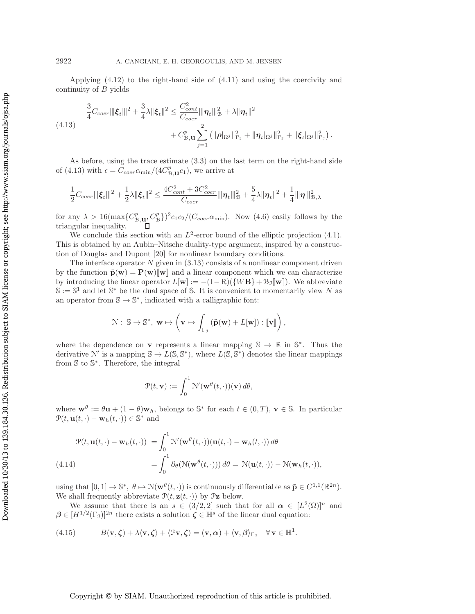Applying (4.12) to the right-hand side of (4.11) and using the coercivity and continuity of B yields

$$
\frac{3}{4}C_{coer} \|\|\xi_t\|^2 + \frac{3}{4}\lambda \|\xi_t\|^2 \leq \frac{C_{coar}^2}{C_{coer}} \|\|\eta_t\|^2 + \lambda \|\eta_t\|^2 + C_{\mathcal{B},\mathbf{u}}^p \sum_{j=1}^2 \left( \|\rho|_{\Omega^j}\|^2_{\Gamma_j} + \|\eta_t|_{\Omega^j}\|^2_{\Gamma_j} + \|\xi_t|_{\Omega^j}\|^2_{\Gamma_j} \right).
$$
\n(4.13)

As before, using the trace estimate (3.3) on the last term on the right-hand side of (4.13) with  $\epsilon = C_{coer} \alpha_{\min}/(4C_{\mathcal{B},\mathbf{u}}^p c_1)$ , we arrive at

$$
\frac{1}{2}C_{coer} \|\|\xi_t\|^2 + \frac{1}{2}\lambda \|\xi_t\|^2 \leq \frac{4C_{cont}^2 + 3C_{coer}^2}{C_{coer}} \|\|\pmb{\eta}_t\|^2_{\mathcal{B}} + \frac{5}{4}\lambda \|\pmb{\eta}_t\|^2 + \frac{1}{4}\|\pmb{\eta}\|^2_{\mathcal{B},\lambda}
$$

for any  $\lambda > 16(\max\{C_{\mathcal{B},\mathbf{u}}^p, C_{\mathcal{B}}^p\})^2 c_1 c_2/(C_{coer} \alpha_{\min})$ . Now (4.6) easily follows by the triangular inequality.

We conclude this section with an  $L^2$ -error bound of the elliptic projection (4.1). This is obtained by an Aubin–Nitsche duality-type argument, inspired by a construction of Douglas and Dupont [20] for nonlinear boundary conditions.

The interface operator  $N$  given in  $(3.13)$  consists of a nonlinear component driven by the function  $\tilde{\mathbf{p}}(\mathbf{w}) = \mathbf{P}(\mathbf{w})[\![\mathbf{w}]\!]$  and a linear component which we can characterize by introducing the linear operator  $L[\mathbf{w}] := -(\mathbf{I}-\mathbf{R})(\{W\mathbf{B}\}+\mathcal{B}_{\mathcal{I}}[\mathbf{w}])$ . We abbreviate  $\mathbb{S} := \mathbb{S}^1$  and let  $\mathbb{S}^*$  be the dual space of S. It is convenient to momentarily view N as an operator from  $\mathbb{S} \to \mathbb{S}^*$ , indicated with a calligraphic font:

$$
\mathcal{N}:~\mathbb{S} \rightarrow \mathbb{S}^*,~\mathbf{w} \mapsto \left(\mathbf{v} \mapsto \int_{\Gamma_{\mathcal{I}}} \left(\tilde{\mathbf{p}}(\mathbf{w}) + L[\mathbf{w}]\right) : [\![\mathbf{v}]\!]\right),
$$

where the dependence on **v** represents a linear mapping  $\mathbb{S} \to \mathbb{R}$  in  $\mathbb{S}^*$ . Thus the derivative N' is a mapping  $S \to L(S, S^*)$ , where  $L(S, S^*)$  denotes the linear mappings from S to S∗. Therefore, the integral

$$
\mathcal{P}(t,\mathbf{v}) := \int_0^1 \mathcal{N}'(\mathbf{w}^{\theta}(t,\cdot))(\mathbf{v}) d\theta,
$$

where  $\mathbf{w}^{\theta} := \theta \mathbf{u} + (1 - \theta) \mathbf{w}_h$ , belongs to  $\mathbb{S}^*$  for each  $t \in (0, T)$ ,  $\mathbf{v} \in \mathbb{S}$ . In particular  $\mathcal{P}(t, \mathbf{u}(t, \cdot) - \mathbf{w}_h(t, \cdot)) \in \mathbb{S}^*$  and

$$
\mathcal{P}(t, \mathbf{u}(t, \cdot) - \mathbf{w}_h(t, \cdot)) = \int_0^1 \mathcal{N}'(\mathbf{w}^\theta(t, \cdot))(\mathbf{u}(t, \cdot) - \mathbf{w}_h(t, \cdot)) d\theta
$$
  
(4.14)  

$$
= \int_0^1 \partial_\theta(\mathcal{N}(\mathbf{w}^\theta(t, \cdot))) d\theta = \mathcal{N}(\mathbf{u}(t, \cdot)) - \mathcal{N}(\mathbf{w}_h(t, \cdot)),
$$

using that  $[0, 1] \to \mathbb{S}^*, \theta \mapsto \mathcal{N}(\mathbf{w}^{\theta}(t, \cdot))$  is continuously differentiable as  $\tilde{\mathbf{p}} \in C^{1,1}(\mathbb{R}^{2n})$ . We shall frequently abbreviate  $\mathcal{P}(t, \mathbf{z}(t, \cdot))$  by  $\mathcal{P}\mathbf{z}$  below.

We assume that there is an  $s \in (3/2, 2]$  such that for all  $\alpha \in [L^2(\Omega)]^n$  and  $\beta \in [H^{1/2}(\Gamma_{\mathcal{I}})]^{2n}$  there exists a solution  $\zeta \in \mathbb{H}^{s}$  of the linear dual equation:

(4.15) 
$$
B(\mathbf{v}, \zeta) + \lambda \langle \mathbf{v}, \zeta \rangle + \langle \mathcal{P}\mathbf{v}, \zeta \rangle = (\mathbf{v}, \alpha) + \langle \mathbf{v}, \beta \rangle_{\Gamma_{\mathcal{I}}} \quad \forall \mathbf{v} \in \mathbb{H}^1.
$$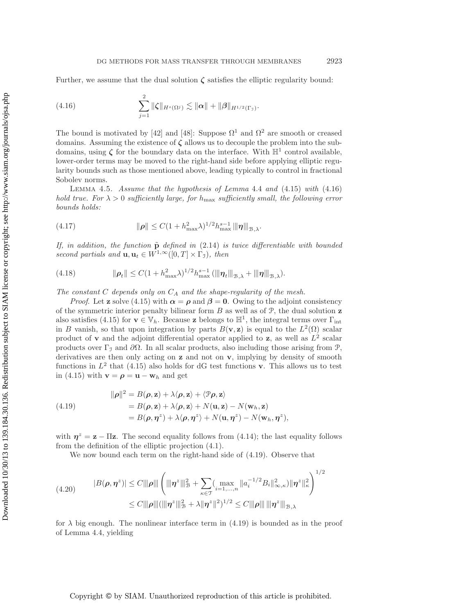Further, we assume that the dual solution  $\zeta$  satisfies the elliptic regularity bound:

(4.16) 
$$
\sum_{j=1}^{2} \|\zeta\|_{H^{s}(\Omega^{j})} \lesssim \|\alpha\| + \|\beta\|_{H^{1/2}(\Gamma_{\mathcal{I}})}.
$$

The bound is motivated by [42] and [48]: Suppose  $\Omega^1$  and  $\Omega^2$  are smooth or creased domains. Assuming the existence of *ζ* allows us to decouple the problem into the subdomains, using  $\zeta$  for the boundary data on the interface. With  $\mathbb{H}^1$  control available, lower-order terms may be moved to the right-hand side before applying elliptic regularity bounds such as those mentioned above, leading typically to control in fractional Sobolev norms.

Lemma 4.5. *Assume that the hypothesis of Lemma* 4.4 *and* (4.15) *with* (4.16) *hold true. For*  $\lambda > 0$  *sufficiently large, for*  $h_{\text{max}}$  *sufficiently small, the following error bounds holds:*

(4.17) 
$$
\|\rho\| \le C(1 + h_{\max}^2 \lambda)^{1/2} h_{\max}^{s-1} \| \|\eta\|_{\mathcal{B},\lambda}.
$$

*If, in addition, the function*  $\tilde{p}$  *defined in* (2.14) *is twice differentiable with bounded second partials and*  $\mathbf{u}, \mathbf{u}_t \in W^{1,\infty}([0,T] \times \Gamma)$ *, then* 

(4.18) 
$$
\|\rho_t\| \leq C(1 + h_{\max}^2 \lambda)^{1/2} h_{\max}^{s-1} (\|\|\pmb{\eta}_t\|_{\mathcal{B},\lambda} + \|\|\pmb{\eta}\|_{\mathcal{B},\lambda}).
$$

*The constant* C *depends only on* C<sup>A</sup> *and the shape-regularity of the mesh.*

*Proof.* Let **z** solve (4.15) with  $\alpha = \rho$  and  $\beta = 0$ . Owing to the adjoint consistency of the symmetric interior penalty bilinear form B as well as of P, the dual solution **z** also satisfies (4.15) for  $\mathbf{v} \in \mathbb{V}_h$ . Because **z** belongs to  $\mathbb{H}^1$ , the integral terms over  $\Gamma_{\text{int}}$ in B vanish, so that upon integration by parts  $B(\mathbf{v}, \mathbf{z})$  is equal to the  $L^2(\Omega)$  scalar product of **v** and the adjoint differential operator applied to **z**, as well as  $L^2$  scalar products over  $\Gamma_{\mathcal{I}}$  and  $\partial\Omega$ . In all scalar products, also including those arising from P, derivatives are then only acting on **z** and not on **v**, implying by density of smooth functions in  $L^2$  that (4.15) also holds for dG test functions **v**. This allows us to test in (4.15) with  $\mathbf{v} = \boldsymbol{\rho} = \mathbf{u} - \mathbf{w}_h$  and get

(4.19) 
$$
\|\rho\|^2 = B(\rho, \mathbf{z}) + \lambda \langle \rho, \mathbf{z} \rangle + \langle \mathcal{P}\rho, \mathbf{z} \rangle
$$

$$
= B(\rho, \mathbf{z}) + \lambda \langle \rho, \mathbf{z} \rangle + N(\mathbf{u}, \mathbf{z}) - N(\mathbf{w}_h, \mathbf{z})
$$

$$
= B(\rho, \eta^z) + \lambda \langle \rho, \eta^z \rangle + N(\mathbf{u}, \eta^z) - N(\mathbf{w}_h, \eta^z),
$$

with  $\eta^z = \mathbf{z} - \Pi \mathbf{z}$ . The second equality follows from (4.14); the last equality follows from the definition of the elliptic projection (4.1).

We now bound each term on the right-hand side of (4.19). Observe that

$$
(4.20) \t|B(\rho, \eta^z)| \leq C \|\|\rho\| \left( \|\eta^z\|_{\mathcal{B}}^2 + \sum_{\kappa \in \mathcal{T}} (\max_{i=1,\dots,n} \|a_i^{-1/2} B_i\|_{\infty,\kappa}^2) \|\eta^z\|_{\kappa}^2 \right)^{1/2}
$$
  

$$
\leq C \|\|\rho\| (\|\eta^z\|_{\mathcal{B}}^2 + \lambda \|\eta^z\|^2)^{1/2} \leq C \|\|\rho\| \|\eta^z\|_{\mathcal{B},\lambda}
$$

for  $\lambda$  big enough. The nonlinear interface term in (4.19) is bounded as in the proof of Lemma 4.4, yielding

Copyright © by SIAM. Unauthorized reproduction of this article is prohibited.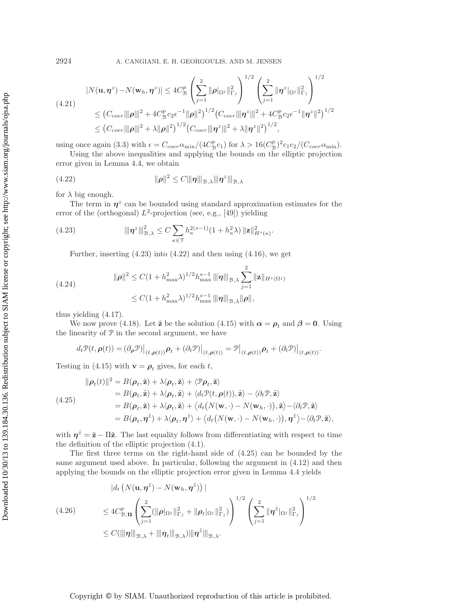2924 A. CANGIANI, E. H. GEORGOULIS, AND M. JENSEN

$$
|N(\mathbf{u}, \boldsymbol{\eta}^z) - N(\mathbf{w}_h, \boldsymbol{\eta}^z)| \le 4C_{\mathcal{B}}^p \left(\sum_{j=1}^2 \|\boldsymbol{\rho}|_{\Omega^j}\|_{\Gamma_{\mathcal{I}}}^2\right)^{1/2} \left(\sum_{j=1}^2 \|\boldsymbol{\eta}^z|_{\Omega^j}\|_{\Gamma_{\mathcal{I}}}^2\right)^{1/2}
$$
  
(4.21)  

$$
\le (C_{coer} \|\|\boldsymbol{\rho}\|^2 + 4C_{\mathcal{B}}^p c_2 \epsilon^{-1} \|\boldsymbol{\rho}\|^2)^{1/2} (C_{coer} \|\|\boldsymbol{\eta}^z\|^2 + 4C_{\mathcal{B}}^p c_2 \epsilon^{-1} \|\boldsymbol{\eta}^z\|^2)^{1/2}
$$
  

$$
\le (C_{coer} \|\|\boldsymbol{\rho}\|^2 + \lambda \|\boldsymbol{\rho}\|^2)^{1/2} (C_{coer} \|\|\boldsymbol{\eta}^z\|^2 + \lambda \|\boldsymbol{\eta}^z\|^2)^{1/2},
$$

using once again (3.3) with  $\epsilon = C_{coer} \alpha_{\min}/(4C_{\mathcal{B}}^p c_1)$  for  $\lambda > 16(C_{\mathcal{B}}^p)^2 c_1 c_2/(C_{coer} \alpha_{\min}).$ Using the above inequalities and applying the bounds on the elliptic projection

error given in Lemma 4.4, we obtain

(4.22) 
$$
\|\rho\|^2 \leq C \|\eta\|_{\mathcal{B},\lambda} \|\eta^z\|_{\mathcal{B},\lambda}
$$

for  $\lambda$  big enough.

The term in  $\eta^z$  can be bounded using standard approximation estimates for the error of the (orthogonal)  $L^2$ -projection (see, e.g., [49]) yielding

(4.23) 
$$
\|\eta^{\tilde{z}}\|_{\mathcal{B},\lambda}^2 \leq C \sum_{\kappa \in \mathcal{T}} h_{\kappa}^{2(s-1)} (1 + h_{\kappa}^2 \lambda) \|z\|_{H^s(\kappa)}^2.
$$

Further, inserting (4.23) into (4.22) and then using (4.16), we get

$$
\|\boldsymbol{\rho}\|^2 \le C(1 + h_{\max}^2 \lambda)^{1/2} h_{\max}^{s-1} \| \boldsymbol{\eta} \|_{\mathcal{B},\lambda} \sum_{j=1}^2 \|\mathbf{z}\|_{H^s(\Omega^j)}
$$
  
 
$$
\le C(1 + h_{\max}^2 \lambda)^{1/2} h_{\max}^{s-1} \| \boldsymbol{\eta} \|_{\mathcal{B},\lambda} \| \boldsymbol{\rho} \|,
$$

thus yielding (4.17).

We now prove (4.18). Let  $\tilde{\mathbf{z}}$  be the solution (4.15) with  $\alpha = \rho_t$  and  $\beta = 0$ . Using the linearity of  $P$  in the second argument, we have

$$
d_t \mathcal{P}(t, \boldsymbol{\rho}(t)) = (\partial_{\boldsymbol{\rho}} \mathcal{P})\big|_{(t, \boldsymbol{\rho}(t))} \boldsymbol{\rho}_t + (\partial_t \mathcal{P})\big|_{(t, \boldsymbol{\rho}(t))} = \mathcal{P}\big|_{(t, \boldsymbol{\rho}(t))} \boldsymbol{\rho}_t + (\partial_t \mathcal{P})\big|_{(t, \boldsymbol{\rho}(t))}.
$$

Testing in (4.15) with  $\mathbf{v} = \boldsymbol{\rho}_t$  gives, for each t,

(4.25)  
\n
$$
\|\rho_t(t)\|^2 = B(\rho_t, \tilde{\mathbf{z}}) + \lambda \langle \rho_t, \tilde{\mathbf{z}} \rangle + \langle \mathcal{P} \rho_t, \tilde{\mathbf{z}} \rangle
$$
\n
$$
= B(\rho_t, \tilde{\mathbf{z}}) + \lambda \langle \rho_t, \tilde{\mathbf{z}} \rangle + \langle d_t \mathcal{P}(t, \rho(t)), \tilde{\mathbf{z}} \rangle - \langle \partial_t \mathcal{P}, \tilde{\mathbf{z}} \rangle
$$
\n
$$
= B(\rho_t, \tilde{\mathbf{z}}) + \lambda \langle \rho_t, \tilde{\mathbf{z}} \rangle + \langle d_t \big( N(\mathbf{w}, \cdot) - N(\mathbf{w}_h, \cdot) \big), \tilde{\mathbf{z}} \rangle - \langle \partial_t \mathcal{P}, \tilde{\mathbf{z}} \rangle
$$
\n
$$
= B(\rho_t, \eta \tilde{\mathbf{z}}) + \lambda \langle \rho_t, \eta \tilde{\mathbf{z}} \rangle + \langle d_t \big( N(\mathbf{w}, \cdot) - N(\mathbf{w}_h, \cdot) \big), \eta \tilde{\mathbf{z}} \rangle - \langle \partial_t \mathcal{P}, \tilde{\mathbf{z}} \rangle,
$$

with  $\eta^{\tilde{z}} = \tilde{z} - \Pi \tilde{z}$ . The last equality follows from differentiating with respect to time the definition of the elliptic projection (4.1).

The first three terms on the right-hand side of (4.25) can be bounded by the same argument used above. In particular, following the argument in (4.12) and then applying the bounds on the elliptic projection error given in Lemma 4.4 yields

$$
|d_t \left(N(\mathbf{u}, \boldsymbol{\eta}^{\tilde{z}}) - N(\mathbf{w}_h, \boldsymbol{\eta}^{\tilde{z}})\right)|
$$
  
(4.26)  

$$
\leq 4C_{\mathcal{B},\mathbf{u}}^p \left(\sum_{j=1}^2 (||\boldsymbol{\rho}|_{\Omega^j}||_{\Gamma_{\mathcal{I}}}^2 + ||\boldsymbol{\rho}_t|_{\Omega^j}||_{\Gamma_{\mathcal{I}}}^2)\right)^{1/2} \left(\sum_{j=1}^2 ||\boldsymbol{\eta}^{\tilde{z}}|_{\Omega^j}||_{\Gamma_{\mathcal{I}}}^2\right)^{1/2}
$$
  

$$
\leq C(||\|\boldsymbol{\eta}||_{\mathcal{B},\lambda} + ||\|\boldsymbol{\eta}_t||_{\mathcal{B},\lambda})||\boldsymbol{\eta}^{\tilde{z}}||_{\mathcal{B},\lambda}.
$$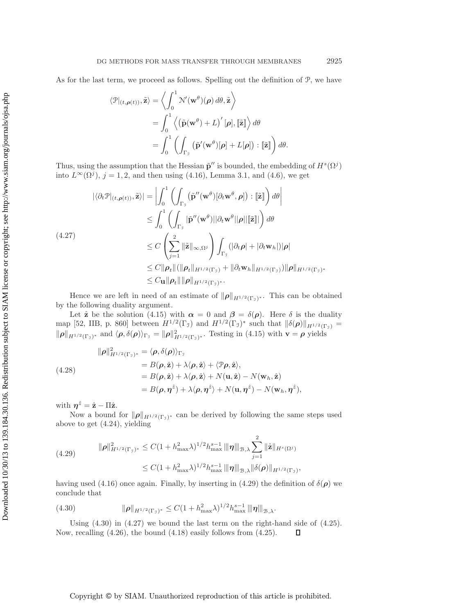As for the last term, we proceed as follows. Spelling out the definition of P, we have

$$
\langle \mathcal{P}|_{(t,\boldsymbol{\rho}(t))}, \tilde{\mathbf{z}} \rangle = \left\langle \int_0^1 \mathcal{N}'(\mathbf{w}^{\theta})(\boldsymbol{\rho}) d\theta, \tilde{\mathbf{z}} \right\rangle
$$
  
= 
$$
\int_0^1 \left\langle (\tilde{\mathbf{p}}(\mathbf{w}^{\theta}) + L)'[\boldsymbol{\rho}], [\tilde{\mathbf{z}}] \right\rangle d\theta
$$
  
= 
$$
\int_0^1 \left( \int_{\Gamma_J} (\tilde{\mathbf{p}}'(\mathbf{w}^{\theta})[\boldsymbol{\rho}] + L[\boldsymbol{\rho}]) : [\tilde{\mathbf{z}}] \right) d\theta.
$$

Thus, using the assumption that the Hessian  $\tilde{\mathbf{p}}''$  is bounded, the embedding of  $H^s(\Omega^j)$ into  $L^{\infty}(\Omega^{j}), j = 1, 2$ , and then using (4.16), Lemma 3.1, and (4.6), we get

$$
|\langle \partial_t \mathcal{P}|_{(t,\boldsymbol{\rho}(t))}, \tilde{\mathbf{z}} \rangle| = \left| \int_0^1 \left( \int_{\Gamma_J} (\tilde{\mathbf{p}}''(\mathbf{w}^{\theta})[\partial_t \mathbf{w}^{\theta}, \boldsymbol{\rho}]) : [\tilde{\mathbf{z}}] \right) d\theta \right|
$$
  
\n
$$
\leq \int_0^1 \left( \int_{\Gamma_J} |\tilde{\mathbf{p}}''(\mathbf{w}^{\theta})| |\partial_t \mathbf{w}^{\theta}| |\boldsymbol{\rho}| |[\tilde{\mathbf{z}}]|\right) d\theta
$$
  
\n(4.27)  
\n
$$
\leq C \left( \sum_{j=1}^2 ||\tilde{\mathbf{z}}||_{\infty, \Omega^j} \right) \int_{\Gamma_J} (|\partial_t \boldsymbol{\rho}| + |\partial_t \mathbf{w}_h|) |\boldsymbol{\rho}|
$$
  
\n
$$
\leq C ||\boldsymbol{\rho}_t|| (||\boldsymbol{\rho}_t||_{H^{1/2}(\Gamma_J)} + ||\partial_t \mathbf{w}_h||_{H^{1/2}(\Gamma_J)}) ||\boldsymbol{\rho}||_{H^{1/2}(\Gamma_J)^*}
$$
  
\n
$$
\leq C \mathbf{u} ||\boldsymbol{\rho}_t|| ||\boldsymbol{\rho}||_{H^{1/2}(\Gamma_J)^*}.
$$

Hence we are left in need of an estimate of  $\|\rho\|_{H^{1/2}(\Gamma_1)^*}$ . This can be obtained by the following duality argument.

Let  $\hat{\mathbf{z}}$  be the solution (4.15) with  $\alpha = 0$  and  $\beta = \delta(\rho)$ . Here  $\delta$  is the duality map [52, IIB, p. 860] between  $H^{1/2}(\Gamma_{\mathcal{I}})$  and  $H^{1/2}(\Gamma_{\mathcal{I}})^*$  such that  $\|\delta(\boldsymbol{\rho})\|_{H^{1/2}(\Gamma_{\mathcal{I}})} =$  $\|\boldsymbol{\rho}\|_{H^{1/2}(\Gamma_{\mathcal{I}})^*}$  and  $\langle \boldsymbol{\rho}, \delta(\boldsymbol{\rho}) \rangle_{\Gamma_{\mathcal{I}}} = \|\boldsymbol{\rho}\|_{H^{1/2}(\Gamma_{\mathcal{I}})^*}^2$ . Testing in (4.15) with  $\mathbf{v} = \boldsymbol{\rho}$  yields

(4.28)  
\n
$$
\|\rho\|_{H^{1/2}(\Gamma_{\mathcal{I}})^*}^2 = \langle \rho, \delta(\rho) \rangle_{\Gamma_{\mathcal{I}}}
$$
\n
$$
= B(\rho, \hat{\mathbf{z}}) + \lambda \langle \rho, \hat{\mathbf{z}} \rangle + \langle \mathcal{P}\rho, \hat{\mathbf{z}} \rangle,
$$
\n
$$
= B(\rho, \hat{\mathbf{z}}) + \lambda \langle \rho, \hat{\mathbf{z}} \rangle + N(\mathbf{u}, \hat{\mathbf{z}}) - N(\mathbf{w}_h, \hat{\mathbf{z}})
$$
\n
$$
= B(\rho, \eta^{\hat{z}}) + \lambda \langle \rho, \eta^{\hat{z}} \rangle + N(\mathbf{u}, \eta^{\hat{z}}) - N(\mathbf{w}_h, \eta^{\hat{z}}),
$$

with  $\eta^{\hat{z}} = \hat{z} - \Pi \hat{z}$ .

Now a bound for  $||\boldsymbol{\rho}||_{H^{1/2}(\Gamma_{\mathcal{I}})^*}$  can be derived by following the same steps used above to get (4.24), yielding

$$
(4.29) \t\t\t\t\t\|\boldsymbol{\rho}\|_{H^{1/2}(\Gamma_{\mathcal{I}})^*}^2 \leq C(1+h_{\max}^2\lambda)^{1/2}h_{\max}^{s-1}\|\|\boldsymbol{\eta}\|_{\mathcal{B},\lambda}\sum_{j=1}^2\|\hat{\mathbf{z}}\|_{H^s(\Omega^j)}\n\t\t\t\leq C(1+h_{\max}^2\lambda)^{1/2}h_{\max}^{s-1}\|\|\boldsymbol{\eta}\|_{\mathcal{B},\lambda}\|\delta(\boldsymbol{\rho})\|_{H^{1/2}(\Gamma_{\mathcal{I}})},
$$

having used (4.16) once again. Finally, by inserting in (4.29) the definition of  $\delta(\rho)$  we conclude that

(4.30) 
$$
\|\rho\|_{H^{1/2}(\Gamma_{\mathcal{I}})^*} \leq C(1+h_{\max}^2\lambda)^{1/2}h_{\max}^{s-1}\|\eta\|_{\mathcal{B},\lambda}.
$$

Using  $(4.30)$  in  $(4.27)$  we bound the last term on the right-hand side of  $(4.25)$ . Now, recalling (4.26), the bound (4.18) easily follows from (4.25).  $\Box$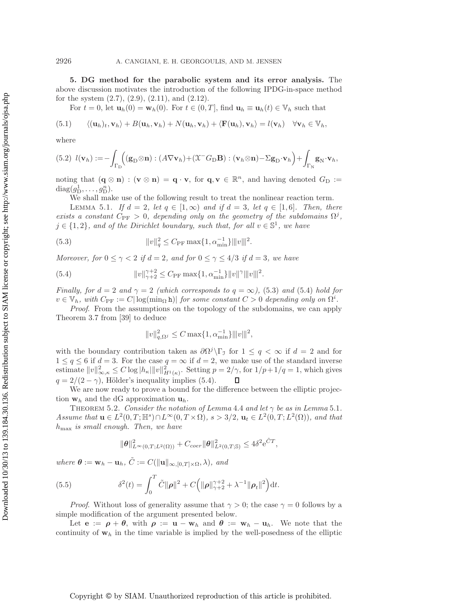**5. DG method for the parabolic system and its error analysis.** The above discussion motivates the introduction of the following IPDG-in-space method for the system (2.7), (2.9), (2.11), and (2.12).

For  $t = 0$ , let  $\mathbf{u}_h(0) = \mathbf{w}_h(0)$ . For  $t \in (0, T]$ , find  $\mathbf{u}_h \equiv \mathbf{u}_h(t) \in \mathbb{V}_h$  such that

(5.1) 
$$
\langle (\mathbf{u}_h)_t, \mathbf{v}_h \rangle + B(\mathbf{u}_h, \mathbf{v}_h) + N(\mathbf{u}_h, \mathbf{v}_h) + \langle \mathbf{F}(\mathbf{u}_h), \mathbf{v}_h \rangle = l(\mathbf{v}_h) \quad \forall \mathbf{v}_h \in \mathbb{V}_h,
$$

where

(5.2) 
$$
l(\mathbf{v}_h) := -\int_{\Gamma_{\mathbf{D}}} \Bigl( (\mathbf{g}_D \otimes \mathbf{n}) : (A \nabla \mathbf{v}_h) + (\mathfrak{X}^- G_D \mathbf{B}) : (\mathbf{v}_h \otimes \mathbf{n}) - \Sigma \mathbf{g}_D \cdot \mathbf{v}_h \Bigr) + \int_{\Gamma_{\mathbf{N}}} \mathbf{g}_N \cdot \mathbf{v}_h,
$$

noting that  $(\mathbf{q} \otimes \mathbf{n}) : (\mathbf{v} \otimes \mathbf{n}) = \mathbf{q} \cdot \mathbf{v}$ , for  $\mathbf{q}, \mathbf{v} \in \mathbb{R}^n$ , and having denoted  $G_D :=$  $diag(g_{\rm D}^1, \ldots, g_{\rm D}^n)$ .

We shall make use of the following result to treat the nonlinear reaction term.

LEMMA 5.1. *If*  $d = 2$ *, let*  $q ∈ [1, ∞)$  *and if*  $d = 3$ *, let*  $q ∈ [1, 6]$ *. Then, there exists a constant*  $C_{\text{PF}} > 0$ *, depending only on the geometry of the subdomains*  $\Omega^j$ *,*  $j \in \{1, 2\}$ , and of the Dirichlet boundary, such that, for all  $v \in \mathbb{S}^1$ , we have

(5.3) 
$$
||v||_q^2 \leq C_{\text{PF}} \max\{1, \alpha_{\min}^{-1}\} |||v||^2.
$$

*Moreover, for*  $0 \leq \gamma < 2$  *if*  $d = 2$ *, and for*  $0 \leq \gamma \leq 4/3$  *if*  $d = 3$ *, we have* 

(5.4) 
$$
||v||_{\gamma+2}^{\gamma+2} \leq C_{\text{PF}} \max\{1, \alpha_{\min}^{-1}\} ||v||^{\gamma} |||v||^2.
$$

*Finally, for*  $d = 2$  *and*  $\gamma = 2$  *(which corresponds to*  $q = \infty$ *),* (5.3) *and* (5.4) *hold for*  $v \in V_h$ , with  $C_{\text{PF}} := C |\log(\min_{\Omega} h)|$  for some constant  $C > 0$  depending only on  $\Omega^i$ .

*Proof*. From the assumptions on the topology of the subdomains, we can apply Theorem 3.7 from [39] to deduce

$$
||v||_{q,\Omega^j}^2 \leq C \max\{1,\alpha_{\min}^{-1}\} |||v|||^2,
$$

with the boundary contribution taken as  $\partial \Omega^j \backslash \Gamma_j$  for  $1 \leq q < \infty$  if  $d = 2$  and for  $1 \le q \le 6$  if  $d = 3$ . For the case  $q = \infty$  if  $d = 2$ , we make use of the standard inverse estimate  $||v||_{\infty,\kappa}^2 \leq C \log |h_{\kappa}|||v||_{H^1(\kappa)}^2$ . Setting  $p = 2/\gamma$ , for  $1/p + 1/q = 1$ , which gives  $q = 2/(2 - \gamma)$ , Hölder's inequality implies (5.4).  $\Box$ 

We are now ready to prove a bound for the difference between the elliptic projection  $\mathbf{w}_h$  and the dG approximation  $\mathbf{u}_h$ .

THEOREM 5.2. *Consider the notation of Lemma* 4.4 *and let*  $\gamma$  *be as in Lemma* 5.1. *Assume that*  $\mathbf{u} \in L^2(0,T;\mathbb{H}^s) \cap L^\infty(0,T \times \Omega)$ *,*  $s > 3/2$ *,*  $\mathbf{u}_t \in L^2(0,T;L^2(\Omega))$ *, and that* hmax *is small enough. Then, we have*

$$
\|\boldsymbol{\theta}\|_{L^{\infty}(0,T;L^2(\Omega))}^2 + C_{coer} \|\boldsymbol{\theta}\|_{L^2(0,T;\mathbb{S})}^2 \leq 4\delta^2 e^{\tilde{C}T},
$$

 $where \ \mathbf{\theta} := \mathbf{w}_h - \mathbf{u}_h, \ \tilde{C} := C(||\mathbf{u}||_{\infty,[0,T]\times\Omega}, \lambda), \ and$ 

(5.5) 
$$
\delta^{2}(t) = \int_{0}^{T} \tilde{C} ||\boldsymbol{\rho}||^{2} + C (||\boldsymbol{\rho}||_{\gamma+2}^{\gamma+2} + \lambda^{-1} ||\boldsymbol{\rho}_{t}||^{2}) dt.
$$

*Proof.* Without loss of generality assume that  $\gamma > 0$ ; the case  $\gamma = 0$  follows by a simple modification of the argument presented below.

Let **e** :=  $\rho + \theta$ , with  $\rho$  := **u** − **w**<sub>h</sub> and  $\theta$  := **w**<sub>h</sub> − **u**<sub>h</sub>. We note that the continuity of  $w_h$  in the time variable is implied by the well-posedness of the elliptic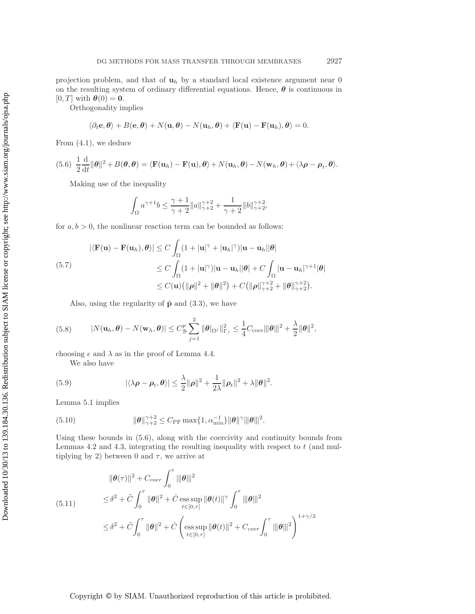projection problem, and that of **u**<sup>h</sup> by a standard local existence argument near 0 on the resulting system of ordinary differential equations. Hence,  $\theta$  is continuous in  $[0, T]$  with  $\boldsymbol{\theta}(0) = \mathbf{0}$ .

Orthogonality implies

$$
\langle \partial_t \mathbf{e}, \boldsymbol{\theta} \rangle + B(\mathbf{e}, \boldsymbol{\theta}) + N(\mathbf{u}, \boldsymbol{\theta}) - N(\mathbf{u}_h, \boldsymbol{\theta}) + \langle \mathbf{F}(\mathbf{u}) - \mathbf{F}(\mathbf{u}_h), \boldsymbol{\theta} \rangle = 0.
$$

From (4.1), we deduce

(5.6) 
$$
\frac{1}{2}\frac{\mathrm{d}}{\mathrm{d}t}\|\boldsymbol{\theta}\|^2 + B(\boldsymbol{\theta},\boldsymbol{\theta}) = \langle \mathbf{F}(\mathbf{u}_h) - \mathbf{F}(\mathbf{u}), \boldsymbol{\theta} \rangle + N(\mathbf{u}_h, \boldsymbol{\theta}) - N(\mathbf{w}_h, \boldsymbol{\theta}) + \langle \lambda \boldsymbol{\rho} - \boldsymbol{\rho}_t, \boldsymbol{\theta} \rangle.
$$

Making use of the inequality

$$
\int_\Omega a^{\gamma+1}b\leq \frac{\gamma+1}{\gamma+2}\|a\|_{\gamma+2}^{\gamma+2}+\frac{1}{\gamma+2}\|b\|_{\gamma+2}^{\gamma+2},
$$

for  $a, b > 0$ , the nonlinear reaction term can be bounded as follows:

$$
|\langle \mathbf{F}(\mathbf{u}) - \mathbf{F}(\mathbf{u}_h), \boldsymbol{\theta} \rangle| \le C \int_{\Omega} (1 + |\mathbf{u}|^{\gamma} + |\mathbf{u}_h|^{\gamma}) |\mathbf{u} - \mathbf{u}_h| |\boldsymbol{\theta}|
$$
  
\n
$$
\le C \int_{\Omega} (1 + |\mathbf{u}|^{\gamma}) |\mathbf{u} - \mathbf{u}_h| |\boldsymbol{\theta}| + C \int_{\Omega} |\mathbf{u} - \mathbf{u}_h|^{\gamma+1} |\boldsymbol{\theta}|
$$
  
\n
$$
\le C(\mathbf{u})(\|\boldsymbol{\rho}\|^2 + \|\boldsymbol{\theta}\|^2) + C(\|\boldsymbol{\rho}\|_{\gamma+2}^{\gamma+2} + \|\boldsymbol{\theta}\|_{\gamma+2}^{\gamma+2}).
$$

Also, using the regularity of  $\tilde{p}$  and (3.3), we have

(5.8) 
$$
|N(\mathbf{u}_h, \boldsymbol{\theta}) - N(\mathbf{w}_h, \boldsymbol{\theta})| \leq C_{\mathcal{B}}^p \sum_{j=1}^2 \|\boldsymbol{\theta}\|_{\Omega^j} \|^2_{\Gamma_j} \leq \frac{1}{4} C_{\text{coer}} \|\boldsymbol{\theta}\|^2 + \frac{\lambda}{2} \|\boldsymbol{\theta}\|^2,
$$

choosing  $\epsilon$  and  $\lambda$  as in the proof of Lemma 4.4.

We also have

(5.9) 
$$
|\langle \lambda \boldsymbol{\rho} - \boldsymbol{\rho}_t, \boldsymbol{\theta} \rangle| \leq \frac{\lambda}{2} ||\boldsymbol{\rho}||^2 + \frac{1}{2\lambda} ||\boldsymbol{\rho}_t||^2 + \lambda ||\boldsymbol{\theta}||^2.
$$

Lemma 5.1 implies

(5.10) 
$$
\|\theta\|_{\gamma+2}^{\gamma+2} \leq C_{\rm PF} \max\{1, \alpha_{\min}^{-1}\}\|\theta\|^{\gamma} \|\theta\|^2.
$$

Using these bounds in (5.6), along with the coercivity and continuity bounds from Lemmas 4.2 and 4.3, integrating the resulting inequality with respect to  $t$  (and multiplying by 2) between 0 and  $\tau$ , we arrive at

$$
\|\theta(\tau)\|^2 + C_{coer} \int_0^{\tau} \|\theta\|^2
$$
  
(5.11) 
$$
\leq \delta^2 + \tilde{C} \int_0^{\tau} \|\theta\|^2 + \hat{C} \operatorname*{ess} \sup_{t \in [0,\tau]} \|\theta(t)\|^\gamma \int_0^{\tau} \|\theta\|^2
$$

$$
\leq \delta^2 + \tilde{C} \int_0^{\tau} \|\theta\|^2 + \hat{C} \left( \operatorname*{ess} \sup_{t \in [0,\tau]} \|\theta(t)\|^2 + C_{coer} \int_0^{\tau} \|\theta\|^2 \right)^{1+\gamma/2}
$$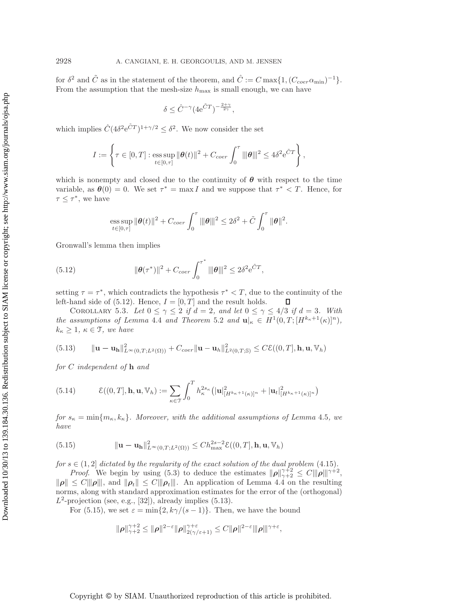for  $\delta^2$  and  $\tilde{C}$  as in the statement of the theorem, and  $\hat{C} := C \max\{1, (C_{coer} \alpha_{\min})^{-1}\}.$ From the assumption that the mesh-size  $h_{\text{max}}$  is small enough, we can have

$$
\delta \leq \hat{C}^{-\gamma} (4e^{\tilde{C}T})^{-\frac{2+\gamma}{2\gamma}},
$$

which implies  $\hat{C} (4\delta^2 e^{\tilde{C}T})^{1+\gamma/2} \leq \delta^2$ . We now consider the set

$$
I := \left\{ \tau \in [0,T] : \operatorname{ess} \operatorname{sup}_{t \in [0,\tau]} \|\boldsymbol{\theta}(t)\|^2 + C_{coer} \int_0^{\tau} \|\|\boldsymbol{\theta}\|^2 \le 4\delta^2 e^{\tilde{C}T} \right\},\
$$

which is nonempty and closed due to the continuity of  $\theta$  with respect to the time variable, as  $\theta(0) = 0$ . We set  $\tau^* = \max I$  and we suppose that  $\tau^* < T$ . Hence, for  $\tau \leq \tau^*$ , we have

$$
\underset{t\in[0,\tau]}{\mathrm{ess}\sup}\|\boldsymbol{\theta}(t)\|^2+C_{coer}\int_0^{\tau}\|\boldsymbol{\theta}\|^2\leq 2\delta^2+\tilde{C}\int_0^{\tau}\|\boldsymbol{\theta}\|^2.
$$

Gronwall's lemma then implies

(5.12) 
$$
\|\boldsymbol{\theta}(\tau^*)\|^2 + C_{coer} \int_0^{\tau^*} \|\boldsymbol{\theta}\|^2 \leq 2\delta^2 e^{\tilde{C}T},
$$

setting  $\tau = \tau^*$ , which contradicts the hypothesis  $\tau^* < T$ , due to the continuity of the left-hand side of (5.12). Hence,  $I = [0, T]$  and the result holds.  $\Box$ 

COROLLARY 5.3. Let  $0 \leq \gamma \leq 2$  if  $d = 2$ , and let  $0 \leq \gamma \leq 4/3$  if  $d = 3$ . With *the assumptions of Lemma* 4.4 *and Theorem* 5.2 *and*  $\mathbf{u}|_k \in H^1(0,T;[H^{k_k+1}(\kappa)]^n)$ *,*  $k_{\kappa} \geq 1, \, \kappa \in \mathcal{T}, \, \text{we have}$ 

$$
(5.13) \t ||\mathbf{u} - \mathbf{u_h}||_{L^{\infty}(0,T;L^2(\Omega))}^2 + C_{coer}||\mathbf{u} - \mathbf{u}_h||_{L^2(0,T;\mathbb{S})}^2 \leq C\mathcal{E}((0,T],\mathbf{h},\mathbf{u},\mathbb{V}_h)
$$

*for* C *independent of* **h** *and*

(5.14) 
$$
\mathcal{E}((0,T], \mathbf{h}, \mathbf{u}, \mathbb{V}_h) := \sum_{\kappa \in \mathcal{T}} \int_0^T h_{\kappa}^{2s_{\kappa}} \left( |\mathbf{u}|^2_{[H^{k_{\kappa}+1}(\kappa)]^n} + |\mathbf{u}_t|^2_{[H^{k_{\kappa}+1}(\kappa)]^n} \right)
$$

*for*  $s_{\kappa} = \min\{m_{\kappa}, k_{\kappa}\}\$ . Moreover, with the additional assumptions of Lemma 4.5, we *have*

(5.15) 
$$
\|\mathbf{u} - \mathbf{u_h}\|_{L^{\infty}(0,T;L^2(\Omega))}^2 \leq Ch_{\max}^{2s-2} \mathcal{E}((0,T], \mathbf{h}, \mathbf{u}, \mathbb{V}_h)
$$

*for*  $s \in (1,2]$  *dictated by the regularity of the exact solution of the dual problem*  $(4.15)$ *. Proof.* We begin by using (5.3) to deduce the estimates  $||\boldsymbol{\rho}||_{\gamma+2}^{\gamma+2} \leq C|||\boldsymbol{\rho}|||^{\gamma+2}$ ,

 $\|\rho\| \leq C \|\rho\|$ , and  $\|\rho_t\| \leq C \|\rho_t\|$ . An application of Lemma 4.4 on the resulting norms, along with standard approximation estimates for the error of the (orthogonal)  $L^2$ -projection (see, e.g., [32]), already implies (5.13).

For (5.15), we set  $\varepsilon = \min\{2, k\gamma/(s-1)\}\.$  Then, we have the bound

$$
\|\rho\|_{\gamma+2}^{\gamma+2}\leq \|\rho\|^{2-\varepsilon}\|\rho\|_{2(\gamma/\varepsilon+1)}^{\gamma+\varepsilon}\leq C \|\rho\|^{2-\varepsilon}\|\rho\|^{\gamma+\varepsilon},
$$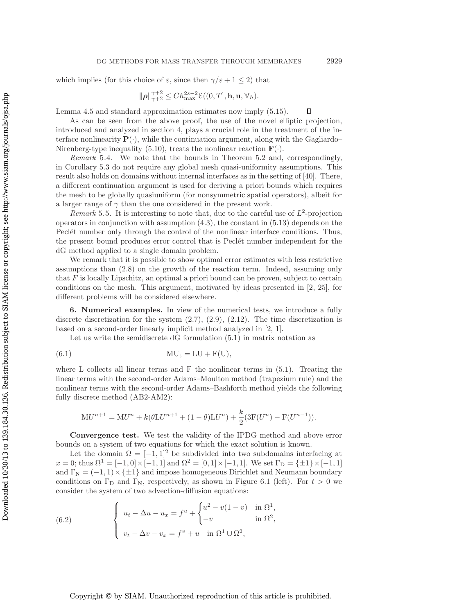which implies (for this choice of  $\varepsilon$ , since then  $\gamma/\varepsilon + 1 \leq 2$ ) that

$$
\|\rho\|_{\gamma+2}^{\gamma+2} \le Ch_{\max}^{2s-2} \mathcal{E}((0,T], \mathbf{h}, \mathbf{u}, \mathbb{V}_h).
$$

 $\Box$ Lemma 4.5 and standard approximation estimates now imply (5.15).

As can be seen from the above proof, the use of the novel elliptic projection, introduced and analyzed in section 4, plays a crucial role in the treatment of the interface nonlinearity  $\mathbf{P}(\cdot)$ , while the continuation argument, along with the Gagliardo– Nirenberg-type inequality (5.10), treats the nonlinear reaction  $\mathbf{F}(\cdot)$ .

*Remark* 5.4. We note that the bounds in Theorem 5.2 and, correspondingly, in Corollary 5.3 do not require any global mesh quasi-uniformity assumptions. This result also holds on domains without internal interfaces as in the setting of [40]. There, a different continuation argument is used for deriving a priori bounds which requires the mesh to be globally quasiuniform (for nonsymmetric spatial operators), albeit for a larger range of  $\gamma$  than the one considered in the present work.

*Remark* 5.5. It is interesting to note that, due to the careful use of  $L^2$ -projection operators in conjunction with assumption  $(4.3)$ , the constant in  $(5.13)$  depends on the Peclét number only through the control of the nonlinear interface conditions. Thus, the present bound produces error control that is Peclét number independent for the dG method applied to a single domain problem.

We remark that it is possible to show optimal error estimates with less restrictive assumptions than (2.8) on the growth of the reaction term. Indeed, assuming only that  $F$  is locally Lipschitz, an optimal a priori bound can be proven, subject to certain conditions on the mesh. This argument, motivated by ideas presented in [2, 25], for different problems will be considered elsewhere.

**6. Numerical examples.** In view of the numerical tests, we introduce a fully discrete discretization for the system  $(2.7), (2.9), (2.12)$ . The time discretization is based on a second-order linearly implicit method analyzed in [2, 1].

Let us write the semidiscrete dG formulation (5.1) in matrix notation as

$$
(6.1) \t MUt = LU + F(U),
$$

where  $L$  collects all linear terms and  $F$  the nonlinear terms in  $(5.1)$ . Treating the linear terms with the second-order Adams–Moulton method (trapezium rule) and the nonlinear terms with the second-order Adams–Bashforth method yields the following fully discrete method (AB2-AM2):

$$
MU^{n+1} = MU^n + k(\theta LU^{n+1} + (1 - \theta)LU^n) + \frac{k}{2}(3F(U^n) - F(U^{n-1})).
$$

**Convergence test.** We test the validity of the IPDG method and above error bounds on a system of two equations for which the exact solution is known.

Let the domain  $\Omega = [-1, 1]^2$  be subdivided into two subdomains interfacing at x = 0; thus  $\Omega^1 = [-1, 0] \times [-1, 1]$  and  $\Omega^2 = [0, 1] \times [-1, 1]$ . We set  $\Gamma_{\text{D}} = \{\pm 1\} \times [-1, 1]$ and  $\Gamma_N = (-1, 1) \times {\pm 1}$  and impose homogeneous Dirichlet and Neumann boundary conditions on  $\Gamma_{\text{D}}$  and  $\Gamma_{\text{N}}$ , respectively, as shown in Figure 6.1 (left). For  $t > 0$  we consider the system of two advection-diffusion equations:

(6.2) 
$$
\begin{cases} u_t - \Delta u - u_x = f^u + \begin{cases} u^2 - v(1 - v) & \text{in } \Omega^1, \\ -v & \text{in } \Omega^2, \end{cases} \\ v_t - \Delta v - v_x = f^v + u & \text{in } \Omega^1 \cup \Omega^2, \end{cases}
$$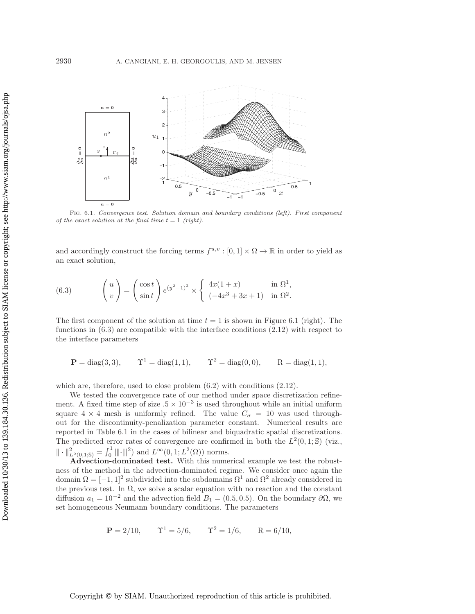

Fig. 6.1. Convergence test. Solution domain and boundary conditions (left). First component of the exact solution at the final time  $t = 1$  (right).

and accordingly construct the forcing terms  $f^{u,v} : [0,1] \times \Omega \to \mathbb{R}$  in order to yield as an exact solution,

(6.3) 
$$
\begin{pmatrix} u \\ v \end{pmatrix} = \begin{pmatrix} \cos t \\ \sin t \end{pmatrix} e^{(y^2 - 1)^2} \times \begin{cases} 4x(1+x) & \text{in } \Omega^1, \\ (-4x^3 + 3x + 1) & \text{in } \Omega^2. \end{cases}
$$

The first component of the solution at time  $t = 1$  is shown in Figure 6.1 (right). The functions in  $(6.3)$  are compatible with the interface conditions  $(2.12)$  with respect to the interface parameters

$$
P = diag(3,3),
$$
  $\Upsilon^1 = diag(1,1),$   $\Upsilon^2 = diag(0,0),$   $R = diag(1,1),$ 

which are, therefore, used to close problem  $(6.2)$  with conditions  $(2.12)$ .

We tested the convergence rate of our method under space discretization refinement. A fixed time step of size  $.5 \times 10^{-3}$  is used throughout while an initial uniform square  $4 \times 4$  mesh is uniformly refined. The value  $C_{\sigma} = 10$  was used throughout for the discontinuity-penalization parameter constant. Numerical results are reported in Table 6.1 in the cases of bilinear and biquadratic spatial discretizations. The predicted error rates of convergence are confirmed in both the  $L^2(0, 1; \mathbb{S})$  (viz.,  $\|\cdot\|_{L^2(0,1;\mathbb{S})}^2 = \int_0^1 \|\cdot\|^2$  and  $L^\infty(0,1;L^2(\Omega))$  norms.

Advection-dominated test. With this numerical example we test the robustness of the method in the advection-dominated regime. We consider once again the domain  $\Omega = [-1, 1]^2$  subdivided into the subdomains  $\Omega^1$  and  $\Omega^2$  already considered in the previous test. In  $\Omega$ , we solve a scalar equation with no reaction and the constant diffusion  $a_1 = 10^{-2}$  and the advection field  $B_1 = (0.5, 0.5)$ . On the boundary  $\partial\Omega$ , we set homogeneous Neumann boundary conditions. The parameters

$$
P = 2/10, \tT1 = 5/6, \tT2 = 1/6, \tR = 6/10,
$$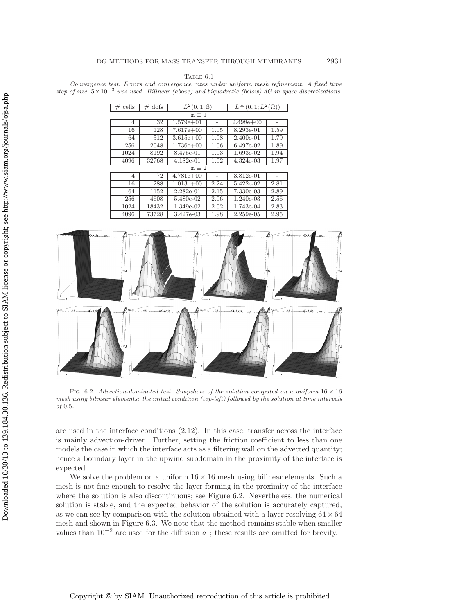Table 6.1

Convergence test. Errors and convergence rates under uniform mesh refinement. A fixed time step of size  $.5 \times 10^{-3}$  was used. Bilinear (above) and biquadratic (below) dG in space discretizations.

| cells<br>#     | $#$ dofs | $L^2(0,1;\mathbb{S})$ |      | $L^{\infty}(0,1;L^2(\Omega))$ |      |
|----------------|----------|-----------------------|------|-------------------------------|------|
| $m \equiv 1$   |          |                       |      |                               |      |
| $\overline{4}$ | 32       | $1.579e + 01$         |      | $2.498e+00$                   |      |
| 16             | 128      | $7.617e + 00$         | 1.05 | 8.293e-01                     | 1.59 |
| 64             | 512      | $3.615e + 00$         | 1.08 | $2.400e-01$                   | 1.79 |
| 256            | 2048     | $1.736e + 00$         | 1.06 | 6.497e-02                     | 1.89 |
| 1024           | 8192     | 8.475e-01             | 1.03 | 1.693e-02                     | 1.94 |
| 4096           | 32768    | $4.182e-01$           | 1.02 | $4.324e-03$                   | 1.97 |
| $m \equiv 2$   |          |                       |      |                               |      |
| $\overline{4}$ | 72       | $4.781e+00$           |      | 3.812e-01                     |      |
| 16             | 288      | $1.013e + 00$         | 2.24 | 5.422e-02                     | 2.81 |
| 64             | 1152     | $2.282e-01$           | 2.15 | 7.330e-03                     | 2.89 |
| 256            | 4608     | 5.480e-02             | 2.06 | $1.240e-03$                   | 2.56 |
| 1024           | 18432    | 1.349e-02             | 2.02 | 1.743e-04                     | 2.83 |
| 4096           | 73728    | 3.427e-03             | 1.98 | 2.259e-05                     | 2.95 |



Downloaded 10/30/13 to 139.184.30.136. Redistribution subject to SIAM license or copyright; see http://www.siam.org/journals/ojsa.php Downloaded 10/30/13 to 139.184.30.136. Redistribution subject to SIAM license or copyright; see http://www.siam.org/journals/ojsa.php

FIG. 6.2. Advection-dominated test. Snapshots of the solution computed on a uniform  $16 \times 16$ mesh using bilinear elements: the initial condition (top-left) followed by the solution at time intervals of 0.5.

are used in the interface conditions (2.12). In this case, transfer across the interface is mainly advection-driven. Further, setting the friction coefficient to less than one models the case in which the interface acts as a filtering wall on the advected quantity; hence a boundary layer in the upwind subdomain in the proximity of the interface is expected.

We solve the problem on a uniform  $16 \times 16$  mesh using bilinear elements. Such a mesh is not fine enough to resolve the layer forming in the proximity of the interface where the solution is also discontinuous; see Figure 6.2. Nevertheless, the numerical solution is stable, and the expected behavior of the solution is accurately captured, as we can see by comparison with the solution obtained with a layer resolving  $64 \times 64$ mesh and shown in Figure 6.3. We note that the method remains stable when smaller values than  $10^{-2}$  are used for the diffusion  $a_1$ ; these results are omitted for brevity.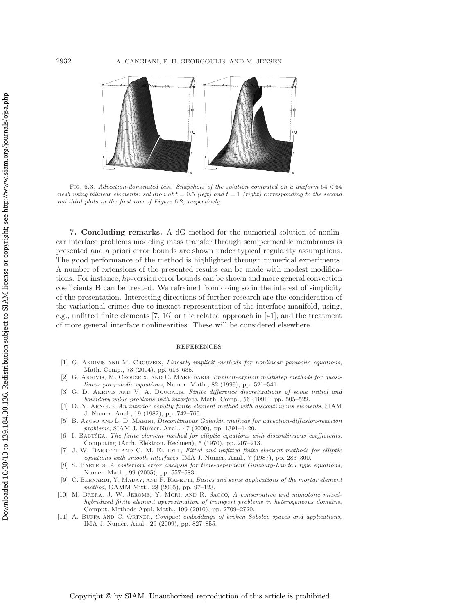

FIG. 6.3. Advection-dominated test. Snapshots of the solution computed on a uniform  $64 \times 64$ mesh using bilinear elements: solution at  $t = 0.5$  (left) and  $t = 1$  (right) corresponding to the second and third plots in the first row of Figure 6.2, respectively.

**7. Concluding remarks.** A dG method for the numerical solution of nonlinear interface problems modeling mass transfer through semipermeable membranes is presented and a priori error bounds are shown under typical regularity assumptions. The good performance of the method is highlighted through numerical experiments. A number of extensions of the presented results can be made with modest modifications. For instance, hp-version error bounds can be shown and more general convection coefficients **B** can be treated. We refrained from doing so in the interest of simplicity of the presentation. Interesting directions of further research are the consideration of the variational crimes due to inexact representation of the interface manifold, using, e.g., unfitted finite elements [7, 16] or the related approach in [41], and the treatment of more general interface nonlinearities. These will be considered elsewhere.

#### **REFERENCES**

- [1] G. AKRIVIS AND M. CROUZEIX, *Linearly implicit methods for nonlinear parabolic equations*, Math. Comp., 73 (2004), pp. 613–635.
- [2] G. Akrivis, M. Crouzeix, and C. Makridakis, Implicit-explicit multistep methods for quasilinear par+abolic equations, Numer. Math., 82 (1999), pp. 521–541.
- [3] G. D. Akrivis and V. A. Dougalis, Finite difference discretizations of some initial and boundary value problems with interface, Math. Comp., 56 (1991), pp. 505–522.
- [4] D. N. ARNOLD, An interior penalty finite element method with discontinuous elements, SIAM J. Numer. Anal., 19 (1982), pp. 742–760.
- [5] B. Ayuso and L. D. Marini, Discontinuous Galerkin methods for advection-diffusion-reaction problems, SIAM J. Numer. Anal., 47 (2009), pp. 1391–1420.
- [6] I. BABUŠKA, The finite element method for elliptic equations with discontinuous coefficients, Computing (Arch. Elektron. Rechnen), 5 (1970), pp. 207–213.
- [7] J. W. BARRETT AND C. M. ELLIOTT, Fitted and unfitted finite-element methods for elliptic equations with smooth interfaces, IMA J. Numer. Anal., 7 (1987), pp. 283–300.
- [8] S. Bartels, A posteriori error analysis for time-dependent Ginzburg-Landau type equations, Numer. Math., 99 (2005), pp. 557–583.
- [9] C. BERNARDI, Y. MADAY, AND F. RAPETTI, Basics and some applications of the mortar element method, GAMM-Mitt., 28 (2005), pp. 97–123.
- [10] M. Brera, J. W. Jerome, Y. Mori, and R. Sacco, A conservative and monotone mixedhybridized finite element approximation of transport problems in heterogeneous domains, Comput. Methods Appl. Math., 199 (2010), pp. 2709–2720.
- [11] A. BUFFA AND C. ORTNER, Compact embeddings of broken Sobolev spaces and applications, IMA J. Numer. Anal., 29 (2009), pp. 827–855.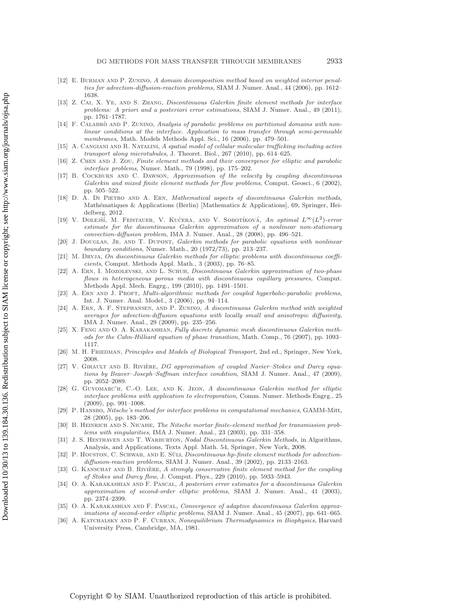- [12] E. Burman and P. Zunino, A domain decomposition method based on weighted interior penalties for advection-diffusion-reaction problems, SIAM J. Numer. Anal., 44 (2006), pp. 1612– 1638.
- [13] Z. CAI, X. YE, AND S. ZHANG, Discontinuous Galerkin finite element methods for interface problems: A priori and a posteriori error estimations, SIAM J. Numer. Anal., 49 (2011), pp. 1761–1787.
- [14] F. CALABRÒ AND P. ZUNINO, Analysis of parabolic problems on partitioned domains with nonlinear conditions at the interface. Application to mass transfer through semi-permeable membranes, Math. Models Methods Appl. Sci., 16 (2006), pp. 479–501.
- [15] A. CANGIANI AND R. NATALINI, A spatial model of cellular molecular trafficking including active transport along microtubules, J. Theoret. Biol., 267 (2010), pp. 614–625.
- [16] Z. Chen and J. Zou, Finite element methods and their convergence for elliptic and parabolic interface problems, Numer. Math., 79 (1998), pp. 175–202.
- [17] B. COCKBURN AND C. DAWSON, Approximation of the velocity by coupling discontinuous Galerkin and mixed finite element methods for flow problems, Comput. Geosci., 6 (2002), pp. 505–522.
- [18] D. A. DI PIETRO AND A. ERN, Mathematical aspects of discontinuous Galerkin methods, Mathématiques & Applications (Berlin) [Mathematics & Applications], 69, Springer, Heidelberg, 2012.
- [19] V. DOLEJŠÍ, M. FEISTAUER, V. KUČERA, AND V. SOBOTÍKOVÁ, An optimal  $L^{\infty}(L^2)$ -error estimate for the discontinuous Galerkin approximation of a nonlinear non-stationary convection-diffusion problem, IMA J. Numer. Anal., 28 (2008), pp. 496–521.
- [20] J. Douglas, Jr. AND T. DUPONT, Galerkin methods for parabolic equations with nonlinear boundary conditions, Numer. Math., 20 (1972/73), pp. 213–237.
- [21] M. Dryja, On discontinuous Galerkin methods for elliptic problems with discontinuous coefficients, Comput. Methods Appl. Math., 3 (2003), pp. 76–85.
- [22] A. Ern, I. Mozolevski, and L. Schuh, Discontinuous Galerkin approximation of two-phase flows in heterogeneous porous media with discontinuous capillary pressures, Comput. Methods Appl. Mech. Engrg., 199 (2010), pp. 1491–1501.
- [23] A. ERN AND J. PROFT, *Multi-algorithmic methods for coupled hyperbolic-parabolic problems*, Int. J. Numer. Anal. Model., 3 (2006), pp. 94–114.
- [24] A. Ern, A. F. Stephansen, and P. Zunino, A discontinuous Galerkin method with weighted averages for advection-diffusion equations with locally small and anisotropic diffusivity, IMA J. Numer. Anal., 29 (2009), pp. 235–256.
- [25] X. Feng and O. A. Karakashian, Fully discrete dynamic mesh discontinuous Galerkin methods for the Cahn-Hilliard equation of phase transition, Math. Comp., 76 (2007), pp. 1093– 1117.
- [26] M. H. FRIEDMAN, Principles and Models of Biological Transport, 2nd ed., Springer, New York, 2008.
- [27] V. GIRAULT AND B. RIVIÈRE, DG approximation of coupled Navier-Stokes and Darcy equations by Beaver–Joseph–Saffman interface condition, SIAM J. Numer. Anal., 47 (2009), pp. 2052–2089.
- [28] G. Guyomarc'h, C.-O. Lee, and K. Jeon, A discontinuous Galerkin method for elliptic interface problems with application to electroporation, Comm. Numer. Methods Engrg., 25 (2009), pp. 991–1008.
- [29] P. HANSBO, Nitsche's method for interface problems in computational mechanics, GAMM-Mitt, 28 (2005), pp. 183–206.
- B. HEINRICH AND S. NICAISE, The Nitsche mortar finite-element method for transmission problems with singularities, IMA J. Numer. Anal., 23 (2003), pp. 331–358.
- [31] J. S. HESTHAVEN AND T. WARBURTON, Nodal Discontinuous Galerkin Methods, in Algorithms, Analysis, and Applications, Texts Appl. Math. 54, Springer, New York, 2008.
- [32] P. HOUSTON, C. SCHWAB, AND E. SULI, Discontinuous hp-finite element methods for advectiondiffusion-reaction problems, SIAM J. Numer. Anal., 39 (2002), pp. 2133–2163.
- [33] G. KANSCHAT AND B. RIVIÈRE, A strongly conservative finite element method for the coupling of Stokes and Darcy flow, J. Comput. Phys., 229 (2010), pp. 5933–5943.
- [34] O. A. Karakashian and F. Pascal, A posteriori error estimates for a discontinuous Galerkin approximation of second-order elliptic problems, SIAM J. Numer. Anal., 41 (2003), pp. 2374–2399.
- [35] O. A. KARAKASHIAN AND F. PASCAL, Convergence of adaptive discontinuous Galerkin approximations of second-order elliptic problems, SIAM J. Numer. Anal., 45 (2007), pp. 641–665.
- [36] A. Katchalsky and P. F. Curran, Nonequilibrium Thermodynamics in Biophysics, Harvard University Press, Cambridge, MA, 1981.